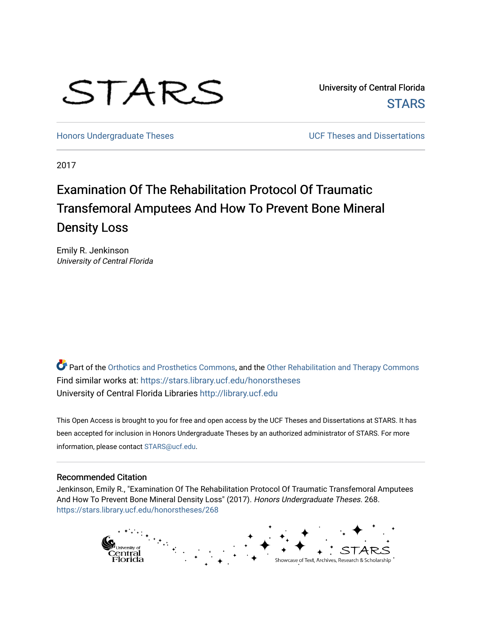# STARS

University of Central Florida **STARS** 

[Honors Undergraduate Theses](https://stars.library.ucf.edu/honorstheses) **Exercise 2018** UCF Theses and Dissertations

2017

## Examination Of The Rehabilitation Protocol Of Traumatic Transfemoral Amputees And How To Prevent Bone Mineral Density Loss

Emily R. Jenkinson University of Central Florida

Part of the [Orthotics and Prosthetics Commons](http://network.bepress.com/hgg/discipline/753?utm_source=stars.library.ucf.edu%2Fhonorstheses%2F268&utm_medium=PDF&utm_campaign=PDFCoverPages), and the Other Rehabilitation and Therapy Commons Find similar works at: <https://stars.library.ucf.edu/honorstheses> University of Central Florida Libraries [http://library.ucf.edu](http://library.ucf.edu/) 

This Open Access is brought to you for free and open access by the UCF Theses and Dissertations at STARS. It has been accepted for inclusion in Honors Undergraduate Theses by an authorized administrator of STARS. For more information, please contact [STARS@ucf.edu.](mailto:STARS@ucf.edu)

## Recommended Citation

Jenkinson, Emily R., "Examination Of The Rehabilitation Protocol Of Traumatic Transfemoral Amputees And How To Prevent Bone Mineral Density Loss" (2017). Honors Undergraduate Theses. 268. [https://stars.library.ucf.edu/honorstheses/268](https://stars.library.ucf.edu/honorstheses/268?utm_source=stars.library.ucf.edu%2Fhonorstheses%2F268&utm_medium=PDF&utm_campaign=PDFCoverPages) 

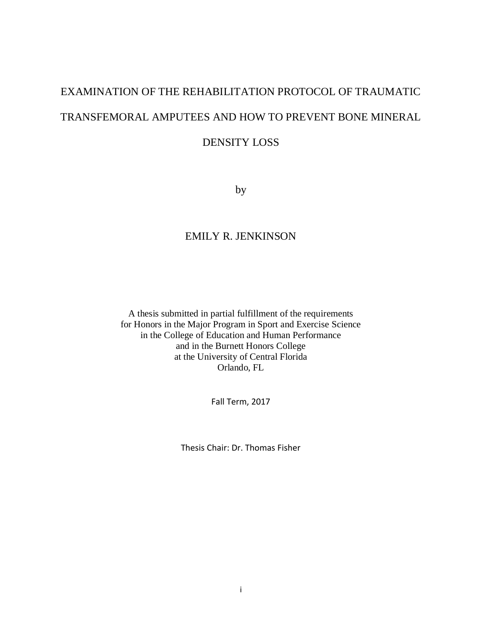## EXAMINATION OF THE REHABILITATION PROTOCOL OF TRAUMATIC TRANSFEMORAL AMPUTEES AND HOW TO PREVENT BONE MINERAL

## DENSITY LOSS

by

## EMILY R. JENKINSON

A thesis submitted in partial fulfillment of the requirements for Honors in the Major Program in Sport and Exercise Science in the College of Education and Human Performance and in the Burnett Honors College at the University of Central Florida Orlando, FL

Fall Term, 2017

Thesis Chair: Dr. Thomas Fisher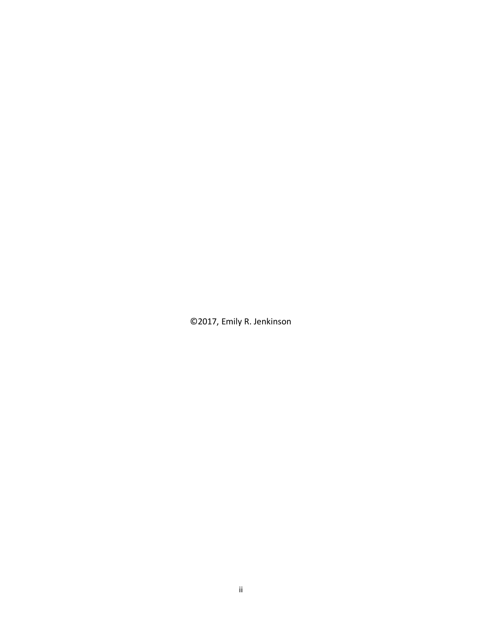©2017, Emily R. Jenkinson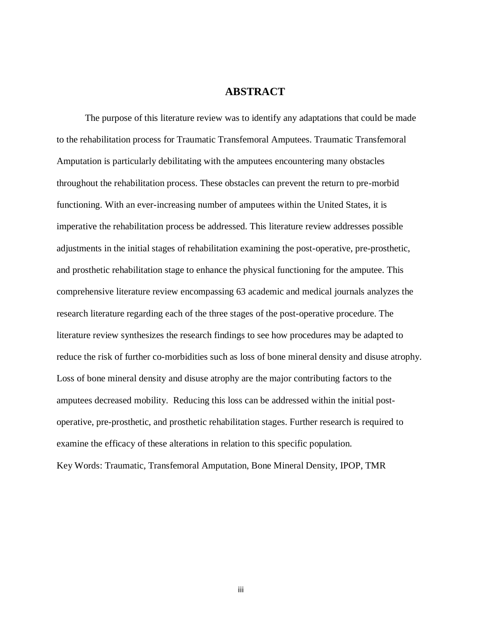## **ABSTRACT**

The purpose of this literature review was to identify any adaptations that could be made to the rehabilitation process for Traumatic Transfemoral Amputees. Traumatic Transfemoral Amputation is particularly debilitating with the amputees encountering many obstacles throughout the rehabilitation process. These obstacles can prevent the return to pre-morbid functioning. With an ever-increasing number of amputees within the United States, it is imperative the rehabilitation process be addressed. This literature review addresses possible adjustments in the initial stages of rehabilitation examining the post-operative, pre-prosthetic, and prosthetic rehabilitation stage to enhance the physical functioning for the amputee. This comprehensive literature review encompassing 63 academic and medical journals analyzes the research literature regarding each of the three stages of the post-operative procedure. The literature review synthesizes the research findings to see how procedures may be adapted to reduce the risk of further co-morbidities such as loss of bone mineral density and disuse atrophy. Loss of bone mineral density and disuse atrophy are the major contributing factors to the amputees decreased mobility. Reducing this loss can be addressed within the initial postoperative, pre-prosthetic, and prosthetic rehabilitation stages. Further research is required to examine the efficacy of these alterations in relation to this specific population.

Key Words: Traumatic, Transfemoral Amputation, Bone Mineral Density, IPOP, TMR

iii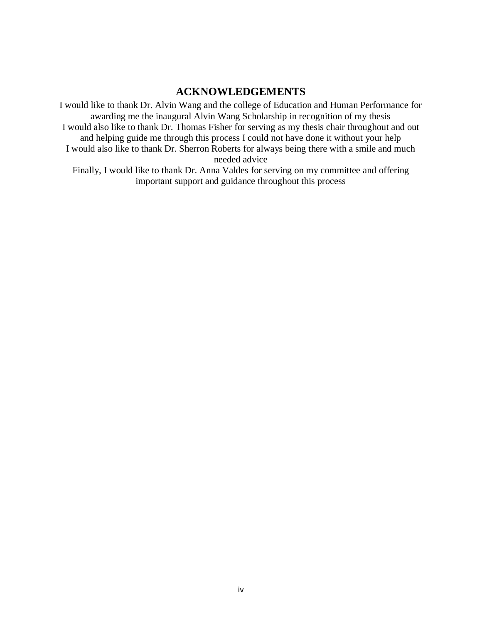## **ACKNOWLEDGEMENTS**

I would like to thank Dr. Alvin Wang and the college of Education and Human Performance for awarding me the inaugural Alvin Wang Scholarship in recognition of my thesis I would also like to thank Dr. Thomas Fisher for serving as my thesis chair throughout and out and helping guide me through this process I could not have done it without your help I would also like to thank Dr. Sherron Roberts for always being there with a smile and much needed advice

Finally, I would like to thank Dr. Anna Valdes for serving on my committee and offering important support and guidance throughout this process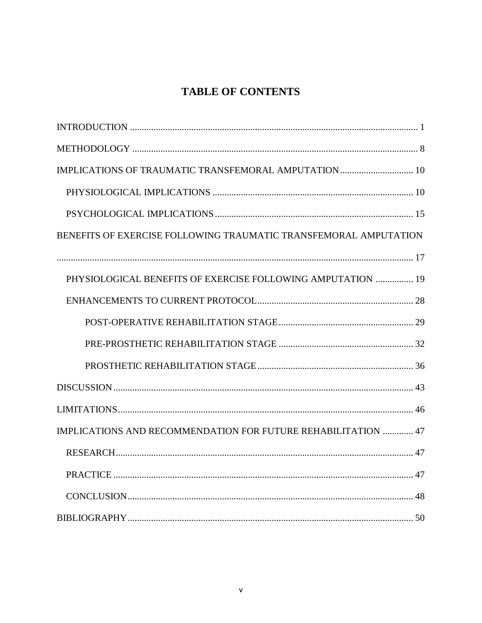## **TABLE OF CONTENTS**

| BENEFITS OF EXERCISE FOLLOWING TRAUMATIC TRANSFEMORAL AMPUTATION |
|------------------------------------------------------------------|
|                                                                  |
| PHYSIOLOGICAL BENEFITS OF EXERCISE FOLLOWING AMPUTATION  19      |
|                                                                  |
|                                                                  |
|                                                                  |
|                                                                  |
|                                                                  |
|                                                                  |
| IMPLICATIONS AND RECOMMENDATION FOR FUTURE REHABILITATION  47    |
|                                                                  |
|                                                                  |
|                                                                  |
|                                                                  |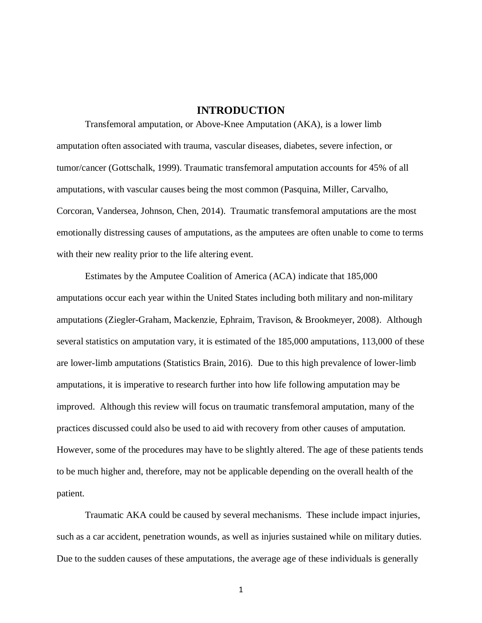## **INTRODUCTION**

Transfemoral amputation, or Above-Knee Amputation (AKA), is a lower limb amputation often associated with trauma, vascular diseases, diabetes, severe infection, or tumor/cancer (Gottschalk, 1999). Traumatic transfemoral amputation accounts for 45% of all amputations, with vascular causes being the most common (Pasquina, Miller, Carvalho, Corcoran, Vandersea, Johnson, Chen, 2014). Traumatic transfemoral amputations are the most emotionally distressing causes of amputations, as the amputees are often unable to come to terms with their new reality prior to the life altering event.

Estimates by the Amputee Coalition of America (ACA) indicate that 185,000 amputations occur each year within the United States including both military and non-military amputations (Ziegler-Graham, Mackenzie, Ephraim, Travison, & Brookmeyer, 2008). Although several statistics on amputation vary, it is estimated of the 185,000 amputations, 113,000 of these are lower-limb amputations (Statistics Brain, 2016). Due to this high prevalence of lower-limb amputations, it is imperative to research further into how life following amputation may be improved. Although this review will focus on traumatic transfemoral amputation, many of the practices discussed could also be used to aid with recovery from other causes of amputation. However, some of the procedures may have to be slightly altered. The age of these patients tends to be much higher and, therefore, may not be applicable depending on the overall health of the patient.

Traumatic AKA could be caused by several mechanisms. These include impact injuries, such as a car accident, penetration wounds, as well as injuries sustained while on military duties. Due to the sudden causes of these amputations, the average age of these individuals is generally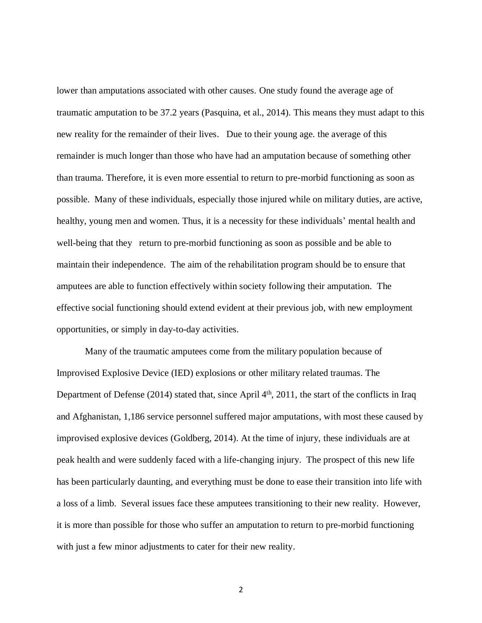lower than amputations associated with other causes. One study found the average age of traumatic amputation to be 37.2 years (Pasquina, et al., 2014). This means they must adapt to this new reality for the remainder of their lives. Due to their young age. the average of this remainder is much longer than those who have had an amputation because of something other than trauma. Therefore, it is even more essential to return to pre-morbid functioning as soon as possible. Many of these individuals, especially those injured while on military duties, are active, healthy, young men and women. Thus, it is a necessity for these individuals' mental health and well-being that they return to pre-morbid functioning as soon as possible and be able to maintain their independence. The aim of the rehabilitation program should be to ensure that amputees are able to function effectively within society following their amputation. The effective social functioning should extend evident at their previous job, with new employment opportunities, or simply in day-to-day activities.

Many of the traumatic amputees come from the military population because of Improvised Explosive Device (IED) explosions or other military related traumas. The Department of Defense (2014) stated that, since April 4<sup>th</sup>, 2011, the start of the conflicts in Iraq and Afghanistan, 1,186 service personnel suffered major amputations, with most these caused by improvised explosive devices (Goldberg, 2014). At the time of injury, these individuals are at peak health and were suddenly faced with a life-changing injury. The prospect of this new life has been particularly daunting, and everything must be done to ease their transition into life with a loss of a limb. Several issues face these amputees transitioning to their new reality. However, it is more than possible for those who suffer an amputation to return to pre-morbid functioning with just a few minor adjustments to cater for their new reality.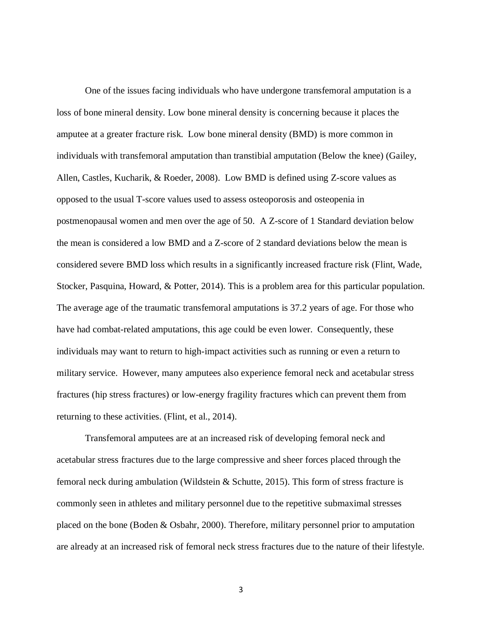One of the issues facing individuals who have undergone transfemoral amputation is a loss of bone mineral density. Low bone mineral density is concerning because it places the amputee at a greater fracture risk. Low bone mineral density (BMD) is more common in individuals with transfemoral amputation than transtibial amputation (Below the knee) (Gailey, Allen, Castles, Kucharik, & Roeder, 2008). Low BMD is defined using Z-score values as opposed to the usual T-score values used to assess osteoporosis and osteopenia in postmenopausal women and men over the age of 50. A Z-score of 1 Standard deviation below the mean is considered a low BMD and a Z-score of 2 standard deviations below the mean is considered severe BMD loss which results in a significantly increased fracture risk (Flint, Wade, Stocker, Pasquina, Howard, & Potter, 2014). This is a problem area for this particular population. The average age of the traumatic transfemoral amputations is 37.2 years of age. For those who have had combat-related amputations, this age could be even lower. Consequently, these individuals may want to return to high-impact activities such as running or even a return to military service. However, many amputees also experience femoral neck and acetabular stress fractures (hip stress fractures) or low-energy fragility fractures which can prevent them from returning to these activities. (Flint, et al., 2014).

Transfemoral amputees are at an increased risk of developing femoral neck and acetabular stress fractures due to the large compressive and sheer forces placed through the femoral neck during ambulation (Wildstein & Schutte, 2015). This form of stress fracture is commonly seen in athletes and military personnel due to the repetitive submaximal stresses placed on the bone (Boden & Osbahr, 2000). Therefore, military personnel prior to amputation are already at an increased risk of femoral neck stress fractures due to the nature of their lifestyle.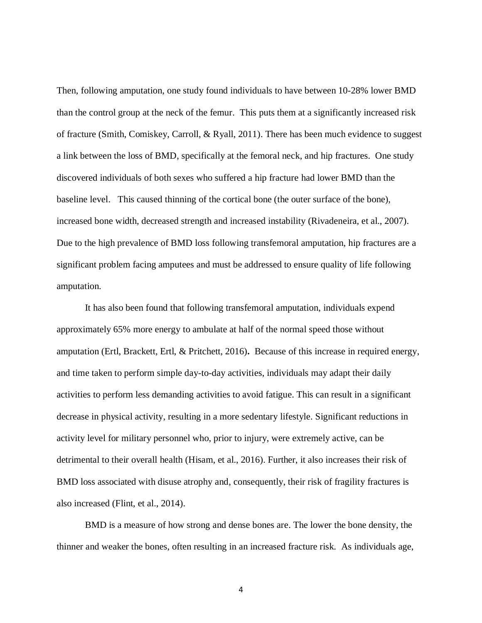Then, following amputation, one study found individuals to have between 10-28% lower BMD than the control group at the neck of the femur. This puts them at a significantly increased risk of fracture (Smith, Comiskey, Carroll, & Ryall, 2011). There has been much evidence to suggest a link between the loss of BMD, specifically at the femoral neck, and hip fractures. One study discovered individuals of both sexes who suffered a hip fracture had lower BMD than the baseline level. This caused thinning of the cortical bone (the outer surface of the bone), increased bone width, decreased strength and increased instability (Rivadeneira, et al., 2007). Due to the high prevalence of BMD loss following transfemoral amputation, hip fractures are a significant problem facing amputees and must be addressed to ensure quality of life following amputation.

It has also been found that following transfemoral amputation, individuals expend approximately 65% more energy to ambulate at half of the normal speed those without amputation (Ertl, Brackett, Ertl, & Pritchett, 2016)**.** Because of this increase in required energy, and time taken to perform simple day-to-day activities, individuals may adapt their daily activities to perform less demanding activities to avoid fatigue. This can result in a significant decrease in physical activity, resulting in a more sedentary lifestyle. Significant reductions in activity level for military personnel who, prior to injury, were extremely active, can be detrimental to their overall health (Hisam, et al., 2016). Further, it also increases their risk of BMD loss associated with disuse atrophy and, consequently, their risk of fragility fractures is also increased (Flint, et al., 2014).

BMD is a measure of how strong and dense bones are. The lower the bone density, the thinner and weaker the bones, often resulting in an increased fracture risk. As individuals age,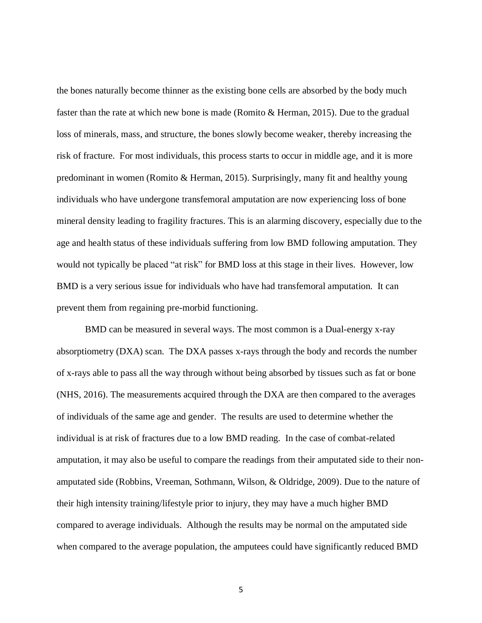the bones naturally become thinner as the existing bone cells are absorbed by the body much faster than the rate at which new bone is made (Romito & Herman, 2015). Due to the gradual loss of minerals, mass, and structure, the bones slowly become weaker, thereby increasing the risk of fracture. For most individuals, this process starts to occur in middle age, and it is more predominant in women (Romito & Herman, 2015). Surprisingly, many fit and healthy young individuals who have undergone transfemoral amputation are now experiencing loss of bone mineral density leading to fragility fractures. This is an alarming discovery, especially due to the age and health status of these individuals suffering from low BMD following amputation. They would not typically be placed "at risk" for BMD loss at this stage in their lives. However, low BMD is a very serious issue for individuals who have had transfemoral amputation. It can prevent them from regaining pre-morbid functioning.

BMD can be measured in several ways. The most common is a Dual-energy x-ray absorptiometry (DXA) scan. The DXA passes x-rays through the body and records the number of x-rays able to pass all the way through without being absorbed by tissues such as fat or bone (NHS, 2016). The measurements acquired through the DXA are then compared to the averages of individuals of the same age and gender. The results are used to determine whether the individual is at risk of fractures due to a low BMD reading. In the case of combat-related amputation, it may also be useful to compare the readings from their amputated side to their nonamputated side (Robbins, Vreeman, Sothmann, Wilson, & Oldridge, 2009). Due to the nature of their high intensity training/lifestyle prior to injury, they may have a much higher BMD compared to average individuals. Although the results may be normal on the amputated side when compared to the average population, the amputees could have significantly reduced BMD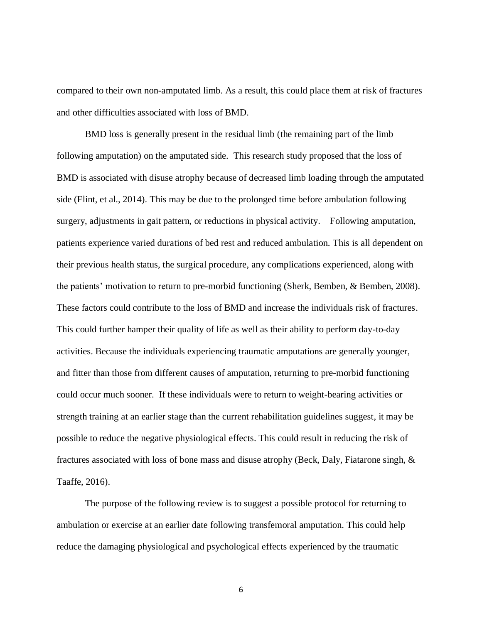compared to their own non-amputated limb. As a result, this could place them at risk of fractures and other difficulties associated with loss of BMD.

BMD loss is generally present in the residual limb (the remaining part of the limb following amputation) on the amputated side. This research study proposed that the loss of BMD is associated with disuse atrophy because of decreased limb loading through the amputated side (Flint, et al., 2014). This may be due to the prolonged time before ambulation following surgery, adjustments in gait pattern, or reductions in physical activity. Following amputation, patients experience varied durations of bed rest and reduced ambulation. This is all dependent on their previous health status, the surgical procedure, any complications experienced, along with the patients' motivation to return to pre-morbid functioning (Sherk, Bemben, & Bemben, 2008). These factors could contribute to the loss of BMD and increase the individuals risk of fractures. This could further hamper their quality of life as well as their ability to perform day-to-day activities. Because the individuals experiencing traumatic amputations are generally younger, and fitter than those from different causes of amputation, returning to pre-morbid functioning could occur much sooner. If these individuals were to return to weight-bearing activities or strength training at an earlier stage than the current rehabilitation guidelines suggest, it may be possible to reduce the negative physiological effects. This could result in reducing the risk of fractures associated with loss of bone mass and disuse atrophy (Beck, Daly, Fiatarone singh, & Taaffe, 2016).

The purpose of the following review is to suggest a possible protocol for returning to ambulation or exercise at an earlier date following transfemoral amputation. This could help reduce the damaging physiological and psychological effects experienced by the traumatic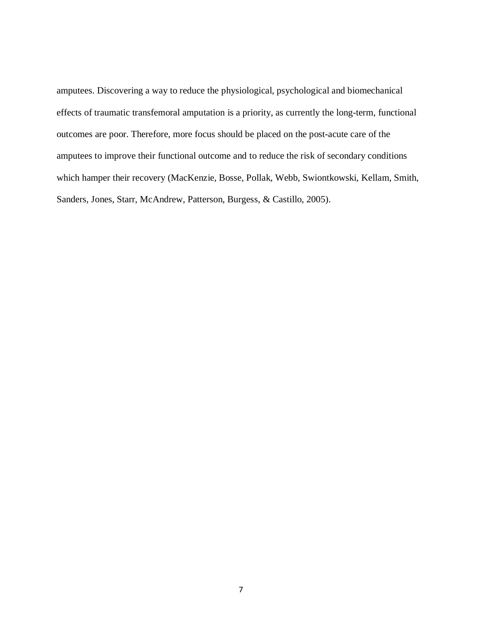amputees. Discovering a way to reduce the physiological, psychological and biomechanical effects of traumatic transfemoral amputation is a priority, as currently the long-term, functional outcomes are poor. Therefore, more focus should be placed on the post-acute care of the amputees to improve their functional outcome and to reduce the risk of secondary conditions which hamper their recovery (MacKenzie, Bosse, Pollak, Webb, Swiontkowski, Kellam, Smith, Sanders, Jones, Starr, McAndrew, Patterson, Burgess, & Castillo, 2005).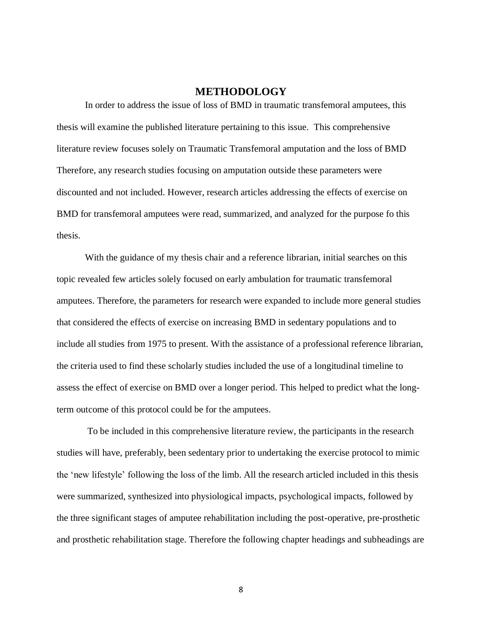## **METHODOLOGY**

In order to address the issue of loss of BMD in traumatic transfemoral amputees, this thesis will examine the published literature pertaining to this issue. This comprehensive literature review focuses solely on Traumatic Transfemoral amputation and the loss of BMD Therefore, any research studies focusing on amputation outside these parameters were discounted and not included. However, research articles addressing the effects of exercise on BMD for transfemoral amputees were read, summarized, and analyzed for the purpose fo this thesis.

With the guidance of my thesis chair and a reference librarian, initial searches on this topic revealed few articles solely focused on early ambulation for traumatic transfemoral amputees. Therefore, the parameters for research were expanded to include more general studies that considered the effects of exercise on increasing BMD in sedentary populations and to include all studies from 1975 to present. With the assistance of a professional reference librarian, the criteria used to find these scholarly studies included the use of a longitudinal timeline to assess the effect of exercise on BMD over a longer period. This helped to predict what the longterm outcome of this protocol could be for the amputees.

To be included in this comprehensive literature review, the participants in the research studies will have, preferably, been sedentary prior to undertaking the exercise protocol to mimic the 'new lifestyle' following the loss of the limb. All the research articled included in this thesis were summarized, synthesized into physiological impacts, psychological impacts, followed by the three significant stages of amputee rehabilitation including the post-operative, pre-prosthetic and prosthetic rehabilitation stage. Therefore the following chapter headings and subheadings are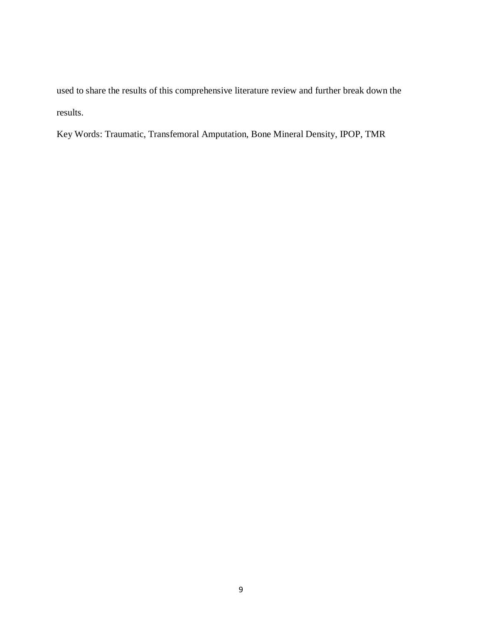used to share the results of this comprehensive literature review and further break down the results.

Key Words: Traumatic, Transfemoral Amputation, Bone Mineral Density, IPOP, TMR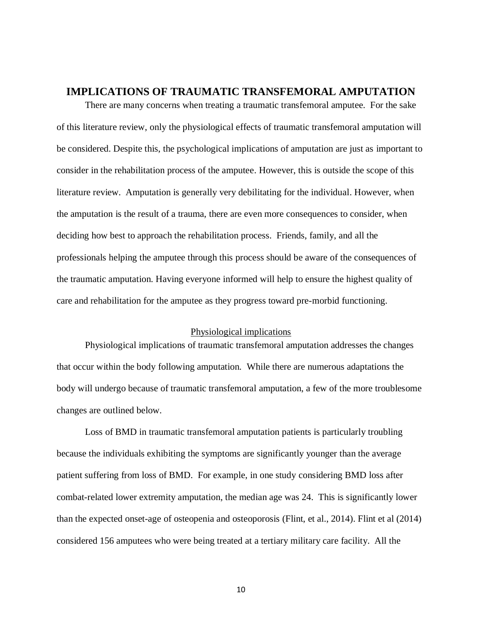## **IMPLICATIONS OF TRAUMATIC TRANSFEMORAL AMPUTATION**

There are many concerns when treating a traumatic transfemoral amputee. For the sake of this literature review, only the physiological effects of traumatic transfemoral amputation will be considered. Despite this, the psychological implications of amputation are just as important to consider in the rehabilitation process of the amputee. However, this is outside the scope of this literature review. Amputation is generally very debilitating for the individual. However, when the amputation is the result of a trauma, there are even more consequences to consider, when deciding how best to approach the rehabilitation process. Friends, family, and all the professionals helping the amputee through this process should be aware of the consequences of the traumatic amputation. Having everyone informed will help to ensure the highest quality of care and rehabilitation for the amputee as they progress toward pre-morbid functioning.

## Physiological implications

Physiological implications of traumatic transfemoral amputation addresses the changes that occur within the body following amputation. While there are numerous adaptations the body will undergo because of traumatic transfemoral amputation, a few of the more troublesome changes are outlined below.

Loss of BMD in traumatic transfemoral amputation patients is particularly troubling because the individuals exhibiting the symptoms are significantly younger than the average patient suffering from loss of BMD. For example, in one study considering BMD loss after combat-related lower extremity amputation, the median age was 24. This is significantly lower than the expected onset-age of osteopenia and osteoporosis (Flint, et al., 2014). Flint et al (2014) considered 156 amputees who were being treated at a tertiary military care facility. All the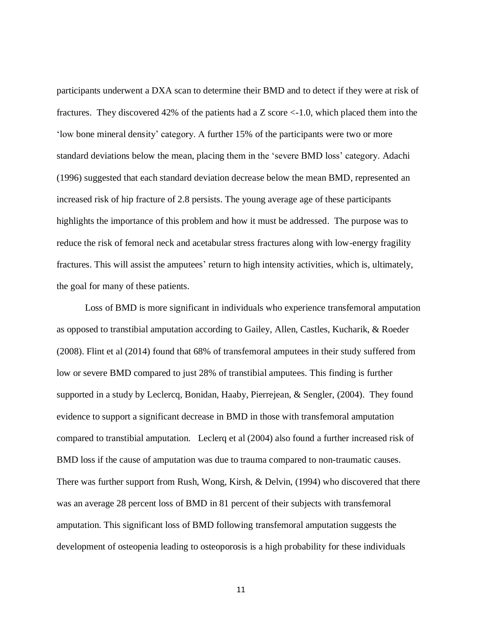participants underwent a DXA scan to determine their BMD and to detect if they were at risk of fractures. They discovered 42% of the patients had a Z score <-1.0, which placed them into the 'low bone mineral density' category. A further 15% of the participants were two or more standard deviations below the mean, placing them in the 'severe BMD loss' category. Adachi (1996) suggested that each standard deviation decrease below the mean BMD, represented an increased risk of hip fracture of 2.8 persists. The young average age of these participants highlights the importance of this problem and how it must be addressed. The purpose was to reduce the risk of femoral neck and acetabular stress fractures along with low-energy fragility fractures. This will assist the amputees' return to high intensity activities, which is, ultimately, the goal for many of these patients.

Loss of BMD is more significant in individuals who experience transfemoral amputation as opposed to transtibial amputation according to Gailey, Allen, Castles, Kucharik, & Roeder (2008). Flint et al (2014) found that 68% of transfemoral amputees in their study suffered from low or severe BMD compared to just 28% of transtibial amputees. This finding is further supported in a study by Leclercq, Bonidan, Haaby, Pierrejean, & Sengler, (2004). They found evidence to support a significant decrease in BMD in those with transfemoral amputation compared to transtibial amputation. Leclerq et al (2004) also found a further increased risk of BMD loss if the cause of amputation was due to trauma compared to non-traumatic causes. There was further support from Rush, Wong, Kirsh, & Delvin, (1994) who discovered that there was an average 28 percent loss of BMD in 81 percent of their subjects with transfemoral amputation. This significant loss of BMD following transfemoral amputation suggests the development of osteopenia leading to osteoporosis is a high probability for these individuals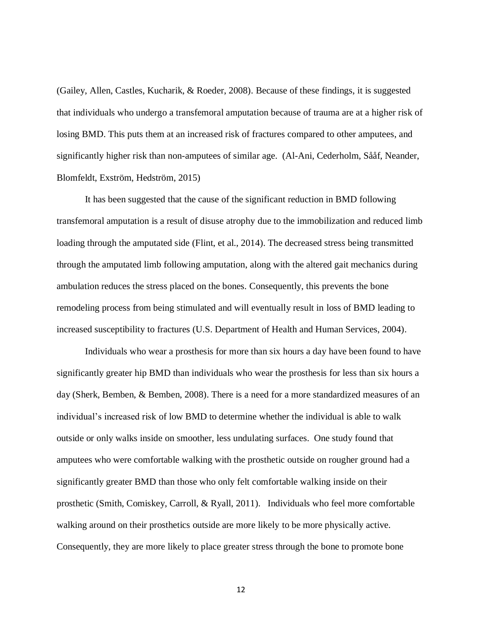(Gailey, Allen, Castles, Kucharik, & Roeder, 2008). Because of these findings, it is suggested that individuals who undergo a transfemoral amputation because of trauma are at a higher risk of losing BMD. This puts them at an increased risk of fractures compared to other amputees, and significantly higher risk than non-amputees of similar age. (Al-Ani, Cederholm, Sååf, Neander, Blomfeldt, Exström, Hedström, 2015)

It has been suggested that the cause of the significant reduction in BMD following transfemoral amputation is a result of disuse atrophy due to the immobilization and reduced limb loading through the amputated side (Flint, et al., 2014). The decreased stress being transmitted through the amputated limb following amputation, along with the altered gait mechanics during ambulation reduces the stress placed on the bones. Consequently, this prevents the bone remodeling process from being stimulated and will eventually result in loss of BMD leading to increased susceptibility to fractures (U.S. Department of Health and Human Services, 2004).

Individuals who wear a prosthesis for more than six hours a day have been found to have significantly greater hip BMD than individuals who wear the prosthesis for less than six hours a day (Sherk, Bemben, & Bemben, 2008). There is a need for a more standardized measures of an individual's increased risk of low BMD to determine whether the individual is able to walk outside or only walks inside on smoother, less undulating surfaces. One study found that amputees who were comfortable walking with the prosthetic outside on rougher ground had a significantly greater BMD than those who only felt comfortable walking inside on their prosthetic (Smith, Comiskey, Carroll, & Ryall, 2011). Individuals who feel more comfortable walking around on their prosthetics outside are more likely to be more physically active. Consequently, they are more likely to place greater stress through the bone to promote bone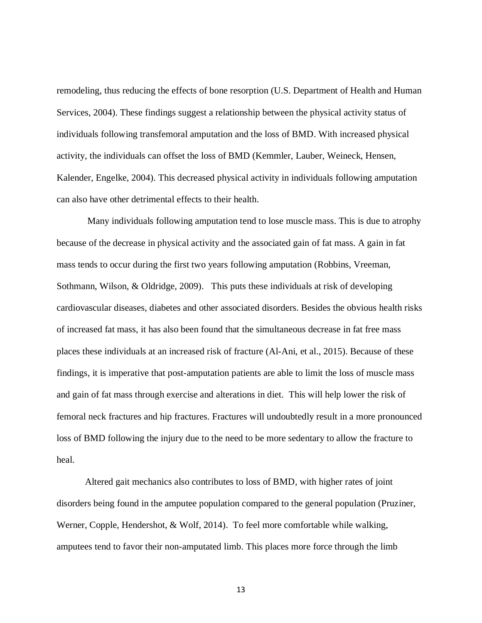remodeling, thus reducing the effects of bone resorption (U.S. Department of Health and Human Services, 2004). These findings suggest a relationship between the physical activity status of individuals following transfemoral amputation and the loss of BMD. With increased physical activity, the individuals can offset the loss of BMD (Kemmler, Lauber, Weineck, Hensen, Kalender, Engelke, 2004). This decreased physical activity in individuals following amputation can also have other detrimental effects to their health.

Many individuals following amputation tend to lose muscle mass. This is due to atrophy because of the decrease in physical activity and the associated gain of fat mass. A gain in fat mass tends to occur during the first two years following amputation (Robbins, Vreeman, Sothmann, Wilson, & Oldridge, 2009). This puts these individuals at risk of developing cardiovascular diseases, diabetes and other associated disorders. Besides the obvious health risks of increased fat mass, it has also been found that the simultaneous decrease in fat free mass places these individuals at an increased risk of fracture (Al-Ani, et al., 2015). Because of these findings, it is imperative that post-amputation patients are able to limit the loss of muscle mass and gain of fat mass through exercise and alterations in diet. This will help lower the risk of femoral neck fractures and hip fractures. Fractures will undoubtedly result in a more pronounced loss of BMD following the injury due to the need to be more sedentary to allow the fracture to heal.

Altered gait mechanics also contributes to loss of BMD, with higher rates of joint disorders being found in the amputee population compared to the general population (Pruziner, Werner, Copple, Hendershot, & Wolf, 2014). To feel more comfortable while walking, amputees tend to favor their non-amputated limb. This places more force through the limb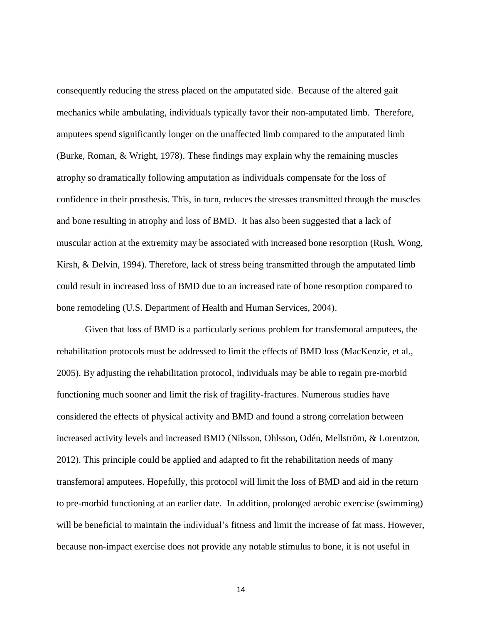consequently reducing the stress placed on the amputated side. Because of the altered gait mechanics while ambulating, individuals typically favor their non-amputated limb. Therefore, amputees spend significantly longer on the unaffected limb compared to the amputated limb (Burke, Roman, & Wright, 1978). These findings may explain why the remaining muscles atrophy so dramatically following amputation as individuals compensate for the loss of confidence in their prosthesis. This, in turn, reduces the stresses transmitted through the muscles and bone resulting in atrophy and loss of BMD. It has also been suggested that a lack of muscular action at the extremity may be associated with increased bone resorption (Rush, Wong, Kirsh, & Delvin, 1994). Therefore, lack of stress being transmitted through the amputated limb could result in increased loss of BMD due to an increased rate of bone resorption compared to bone remodeling (U.S. Department of Health and Human Services, 2004).

Given that loss of BMD is a particularly serious problem for transfemoral amputees, the rehabilitation protocols must be addressed to limit the effects of BMD loss (MacKenzie, et al., 2005). By adjusting the rehabilitation protocol, individuals may be able to regain pre-morbid functioning much sooner and limit the risk of fragility-fractures. Numerous studies have considered the effects of physical activity and BMD and found a strong correlation between increased activity levels and increased BMD (Nilsson, Ohlsson, Odén, Mellström, & Lorentzon, 2012). This principle could be applied and adapted to fit the rehabilitation needs of many transfemoral amputees. Hopefully, this protocol will limit the loss of BMD and aid in the return to pre-morbid functioning at an earlier date. In addition, prolonged aerobic exercise (swimming) will be beneficial to maintain the individual's fitness and limit the increase of fat mass. However, because non-impact exercise does not provide any notable stimulus to bone, it is not useful in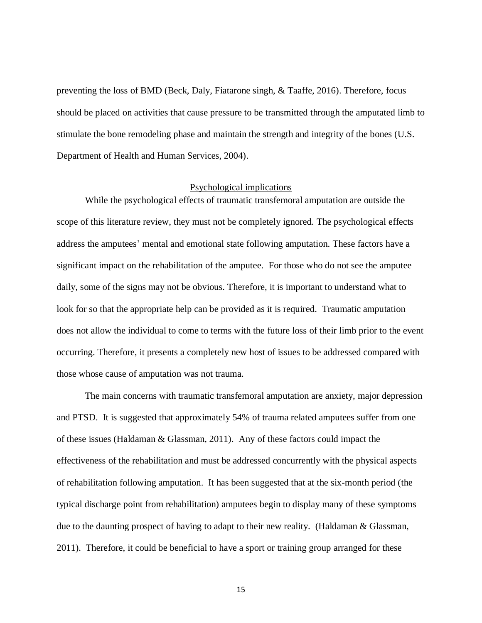preventing the loss of BMD (Beck, Daly, Fiatarone singh, & Taaffe, 2016). Therefore, focus should be placed on activities that cause pressure to be transmitted through the amputated limb to stimulate the bone remodeling phase and maintain the strength and integrity of the bones (U.S. Department of Health and Human Services, 2004).

#### Psychological implications

While the psychological effects of traumatic transfemoral amputation are outside the scope of this literature review, they must not be completely ignored. The psychological effects address the amputees' mental and emotional state following amputation. These factors have a significant impact on the rehabilitation of the amputee. For those who do not see the amputee daily, some of the signs may not be obvious. Therefore, it is important to understand what to look for so that the appropriate help can be provided as it is required. Traumatic amputation does not allow the individual to come to terms with the future loss of their limb prior to the event occurring. Therefore, it presents a completely new host of issues to be addressed compared with those whose cause of amputation was not trauma.

The main concerns with traumatic transfemoral amputation are anxiety, major depression and PTSD. It is suggested that approximately 54% of trauma related amputees suffer from one of these issues (Haldaman & Glassman, 2011). Any of these factors could impact the effectiveness of the rehabilitation and must be addressed concurrently with the physical aspects of rehabilitation following amputation. It has been suggested that at the six-month period (the typical discharge point from rehabilitation) amputees begin to display many of these symptoms due to the daunting prospect of having to adapt to their new reality. (Haldaman & Glassman, 2011). Therefore, it could be beneficial to have a sport or training group arranged for these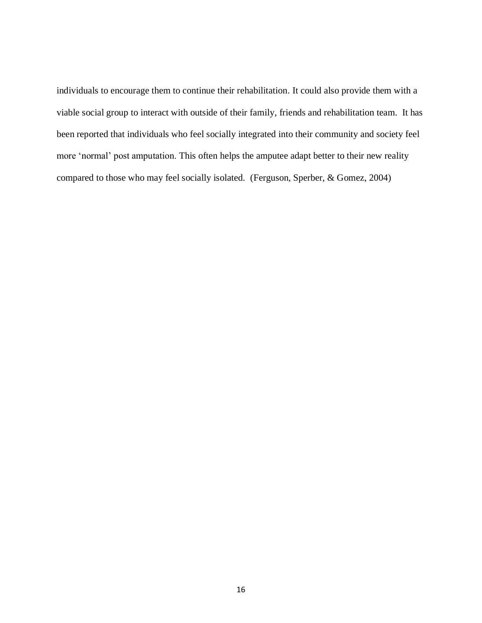individuals to encourage them to continue their rehabilitation. It could also provide them with a viable social group to interact with outside of their family, friends and rehabilitation team. It has been reported that individuals who feel socially integrated into their community and society feel more 'normal' post amputation. This often helps the amputee adapt better to their new reality compared to those who may feel socially isolated. (Ferguson, Sperber, & Gomez, 2004)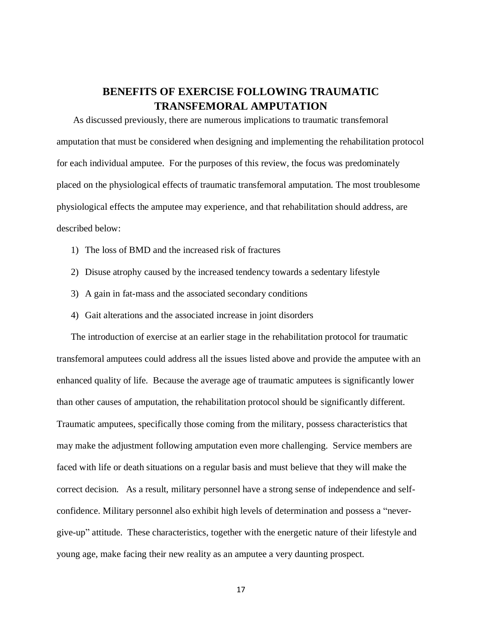## **BENEFITS OF EXERCISE FOLLOWING TRAUMATIC TRANSFEMORAL AMPUTATION**

As discussed previously, there are numerous implications to traumatic transfemoral amputation that must be considered when designing and implementing the rehabilitation protocol for each individual amputee. For the purposes of this review, the focus was predominately placed on the physiological effects of traumatic transfemoral amputation. The most troublesome physiological effects the amputee may experience, and that rehabilitation should address, are described below:

- 1) The loss of BMD and the increased risk of fractures
- 2) Disuse atrophy caused by the increased tendency towards a sedentary lifestyle
- 3) A gain in fat-mass and the associated secondary conditions
- 4) Gait alterations and the associated increase in joint disorders

The introduction of exercise at an earlier stage in the rehabilitation protocol for traumatic transfemoral amputees could address all the issues listed above and provide the amputee with an enhanced quality of life. Because the average age of traumatic amputees is significantly lower than other causes of amputation, the rehabilitation protocol should be significantly different. Traumatic amputees, specifically those coming from the military, possess characteristics that may make the adjustment following amputation even more challenging. Service members are faced with life or death situations on a regular basis and must believe that they will make the correct decision. As a result, military personnel have a strong sense of independence and selfconfidence. Military personnel also exhibit high levels of determination and possess a "nevergive-up" attitude. These characteristics, together with the energetic nature of their lifestyle and young age, make facing their new reality as an amputee a very daunting prospect.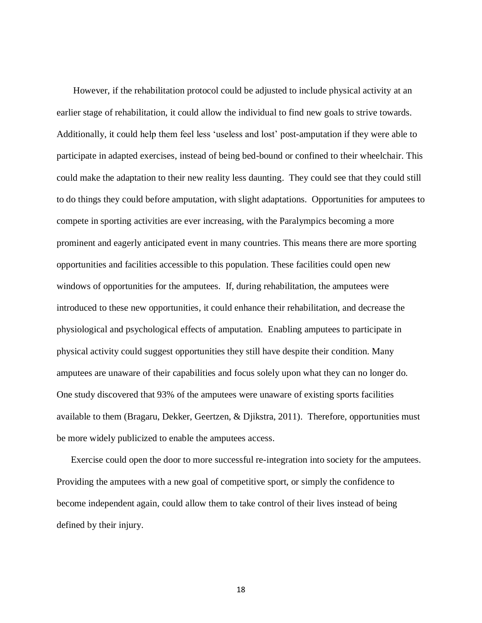However, if the rehabilitation protocol could be adjusted to include physical activity at an earlier stage of rehabilitation, it could allow the individual to find new goals to strive towards. Additionally, it could help them feel less 'useless and lost' post-amputation if they were able to participate in adapted exercises, instead of being bed-bound or confined to their wheelchair. This could make the adaptation to their new reality less daunting. They could see that they could still to do things they could before amputation, with slight adaptations. Opportunities for amputees to compete in sporting activities are ever increasing, with the Paralympics becoming a more prominent and eagerly anticipated event in many countries. This means there are more sporting opportunities and facilities accessible to this population. These facilities could open new windows of opportunities for the amputees. If, during rehabilitation, the amputees were introduced to these new opportunities, it could enhance their rehabilitation, and decrease the physiological and psychological effects of amputation. Enabling amputees to participate in physical activity could suggest opportunities they still have despite their condition. Many amputees are unaware of their capabilities and focus solely upon what they can no longer do. One study discovered that 93% of the amputees were unaware of existing sports facilities available to them (Bragaru, Dekker, Geertzen, & Djikstra, 2011). Therefore, opportunities must be more widely publicized to enable the amputees access.

Exercise could open the door to more successful re-integration into society for the amputees. Providing the amputees with a new goal of competitive sport, or simply the confidence to become independent again, could allow them to take control of their lives instead of being defined by their injury.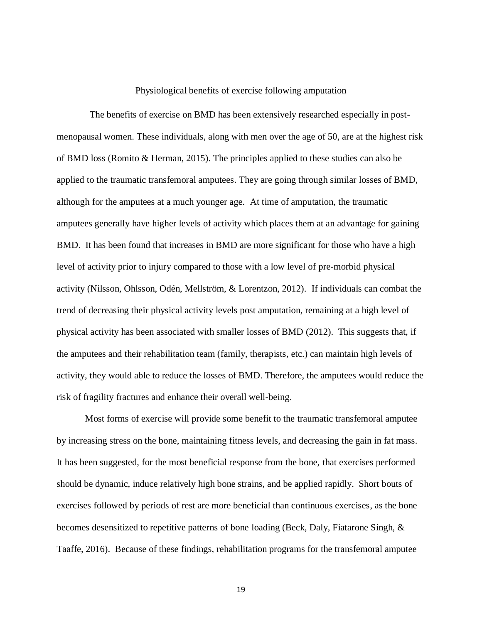## Physiological benefits of exercise following amputation

 The benefits of exercise on BMD has been extensively researched especially in postmenopausal women. These individuals, along with men over the age of 50, are at the highest risk of BMD loss (Romito & Herman, 2015). The principles applied to these studies can also be applied to the traumatic transfemoral amputees. They are going through similar losses of BMD, although for the amputees at a much younger age. At time of amputation, the traumatic amputees generally have higher levels of activity which places them at an advantage for gaining BMD. It has been found that increases in BMD are more significant for those who have a high level of activity prior to injury compared to those with a low level of pre-morbid physical activity (Nilsson, Ohlsson, Odén, Mellström, & Lorentzon, 2012). If individuals can combat the trend of decreasing their physical activity levels post amputation, remaining at a high level of physical activity has been associated with smaller losses of BMD (2012). This suggests that, if the amputees and their rehabilitation team (family, therapists, etc.) can maintain high levels of activity, they would able to reduce the losses of BMD. Therefore, the amputees would reduce the risk of fragility fractures and enhance their overall well-being.

Most forms of exercise will provide some benefit to the traumatic transfemoral amputee by increasing stress on the bone, maintaining fitness levels, and decreasing the gain in fat mass. It has been suggested, for the most beneficial response from the bone, that exercises performed should be dynamic, induce relatively high bone strains, and be applied rapidly. Short bouts of exercises followed by periods of rest are more beneficial than continuous exercises, as the bone becomes desensitized to repetitive patterns of bone loading (Beck, Daly, Fiatarone Singh, & Taaffe, 2016). Because of these findings, rehabilitation programs for the transfemoral amputee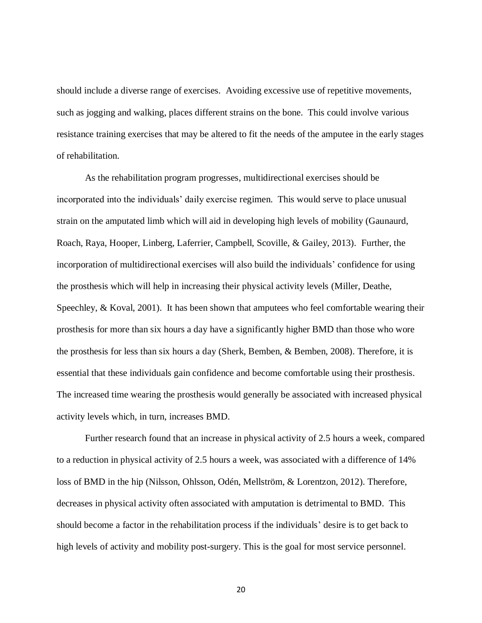should include a diverse range of exercises. Avoiding excessive use of repetitive movements, such as jogging and walking, places different strains on the bone. This could involve various resistance training exercises that may be altered to fit the needs of the amputee in the early stages of rehabilitation.

As the rehabilitation program progresses, multidirectional exercises should be incorporated into the individuals' daily exercise regimen. This would serve to place unusual strain on the amputated limb which will aid in developing high levels of mobility (Gaunaurd, Roach, Raya, Hooper, Linberg, Laferrier, Campbell, Scoville, & Gailey, 2013). Further, the incorporation of multidirectional exercises will also build the individuals' confidence for using the prosthesis which will help in increasing their physical activity levels (Miller, Deathe, Speechley, & Koval, 2001). It has been shown that amputees who feel comfortable wearing their prosthesis for more than six hours a day have a significantly higher BMD than those who wore the prosthesis for less than six hours a day (Sherk, Bemben, & Bemben, 2008). Therefore, it is essential that these individuals gain confidence and become comfortable using their prosthesis. The increased time wearing the prosthesis would generally be associated with increased physical activity levels which, in turn, increases BMD.

Further research found that an increase in physical activity of 2.5 hours a week, compared to a reduction in physical activity of 2.5 hours a week, was associated with a difference of 14% loss of BMD in the hip (Nilsson, Ohlsson, Odén, Mellström, & Lorentzon, 2012). Therefore, decreases in physical activity often associated with amputation is detrimental to BMD. This should become a factor in the rehabilitation process if the individuals' desire is to get back to high levels of activity and mobility post-surgery. This is the goal for most service personnel.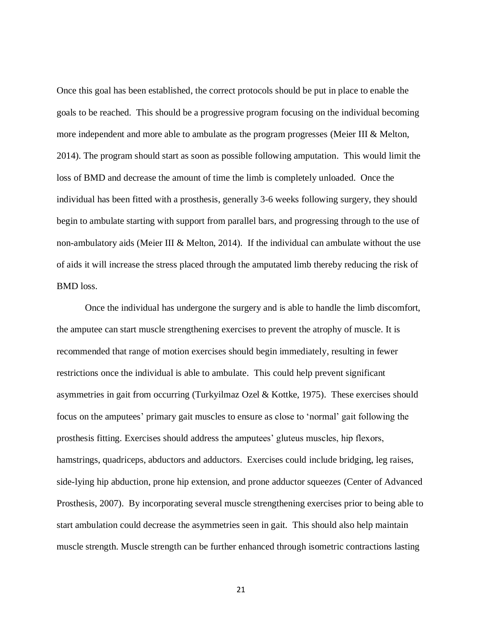Once this goal has been established, the correct protocols should be put in place to enable the goals to be reached. This should be a progressive program focusing on the individual becoming more independent and more able to ambulate as the program progresses (Meier III & Melton, 2014). The program should start as soon as possible following amputation. This would limit the loss of BMD and decrease the amount of time the limb is completely unloaded. Once the individual has been fitted with a prosthesis, generally 3-6 weeks following surgery, they should begin to ambulate starting with support from parallel bars, and progressing through to the use of non-ambulatory aids (Meier III & Melton, 2014). If the individual can ambulate without the use of aids it will increase the stress placed through the amputated limb thereby reducing the risk of BMD loss.

Once the individual has undergone the surgery and is able to handle the limb discomfort, the amputee can start muscle strengthening exercises to prevent the atrophy of muscle. It is recommended that range of motion exercises should begin immediately, resulting in fewer restrictions once the individual is able to ambulate. This could help prevent significant asymmetries in gait from occurring (Turkyilmaz Ozel & Kottke, 1975). These exercises should focus on the amputees' primary gait muscles to ensure as close to 'normal' gait following the prosthesis fitting. Exercises should address the amputees' gluteus muscles, hip flexors, hamstrings, quadriceps, abductors and adductors. Exercises could include bridging, leg raises, side-lying hip abduction, prone hip extension, and prone adductor squeezes (Center of Advanced Prosthesis, 2007). By incorporating several muscle strengthening exercises prior to being able to start ambulation could decrease the asymmetries seen in gait. This should also help maintain muscle strength. Muscle strength can be further enhanced through isometric contractions lasting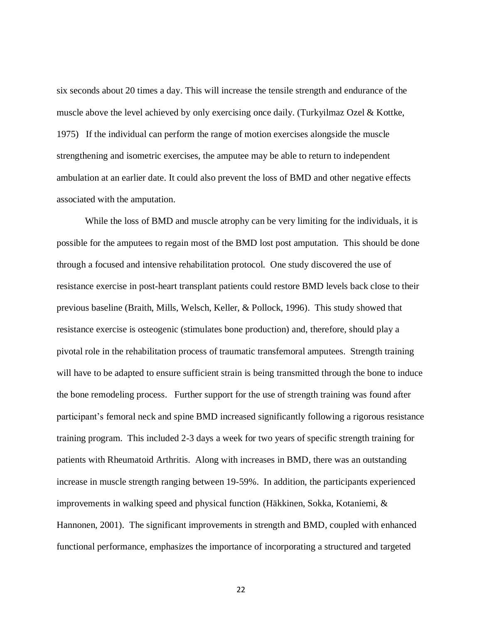six seconds about 20 times a day. This will increase the tensile strength and endurance of the muscle above the level achieved by only exercising once daily. (Turkyilmaz Ozel & Kottke, 1975) If the individual can perform the range of motion exercises alongside the muscle strengthening and isometric exercises, the amputee may be able to return to independent ambulation at an earlier date. It could also prevent the loss of BMD and other negative effects associated with the amputation.

While the loss of BMD and muscle atrophy can be very limiting for the individuals, it is possible for the amputees to regain most of the BMD lost post amputation. This should be done through a focused and intensive rehabilitation protocol. One study discovered the use of resistance exercise in post-heart transplant patients could restore BMD levels back close to their previous baseline (Braith, Mills, Welsch, Keller, & Pollock, 1996). This study showed that resistance exercise is osteogenic (stimulates bone production) and, therefore, should play a pivotal role in the rehabilitation process of traumatic transfemoral amputees. Strength training will have to be adapted to ensure sufficient strain is being transmitted through the bone to induce the bone remodeling process. Further support for the use of strength training was found after participant's femoral neck and spine BMD increased significantly following a rigorous resistance training program. This included 2-3 days a week for two years of specific strength training for patients with Rheumatoid Arthritis. Along with increases in BMD, there was an outstanding increase in muscle strength ranging between 19-59%. In addition, the participants experienced improvements in walking speed and physical function (Häkkinen, Sokka, Kotaniemi, & Hannonen, 2001). The significant improvements in strength and BMD, coupled with enhanced functional performance, emphasizes the importance of incorporating a structured and targeted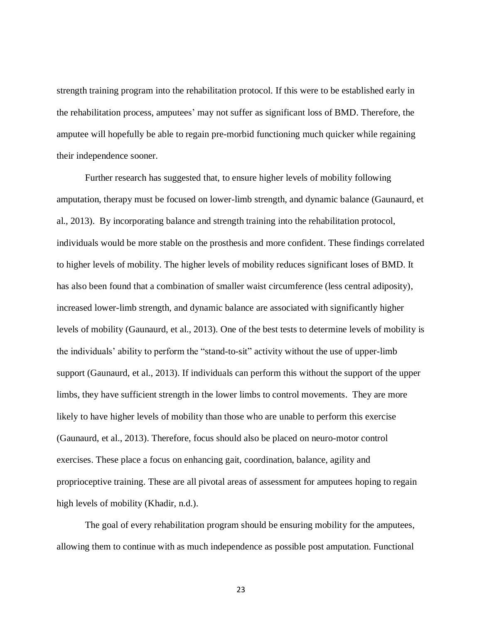strength training program into the rehabilitation protocol. If this were to be established early in the rehabilitation process, amputees' may not suffer as significant loss of BMD. Therefore, the amputee will hopefully be able to regain pre-morbid functioning much quicker while regaining their independence sooner.

Further research has suggested that, to ensure higher levels of mobility following amputation, therapy must be focused on lower-limb strength, and dynamic balance (Gaunaurd, et al., 2013). By incorporating balance and strength training into the rehabilitation protocol, individuals would be more stable on the prosthesis and more confident. These findings correlated to higher levels of mobility. The higher levels of mobility reduces significant loses of BMD. It has also been found that a combination of smaller waist circumference (less central adiposity), increased lower-limb strength, and dynamic balance are associated with significantly higher levels of mobility (Gaunaurd, et al., 2013). One of the best tests to determine levels of mobility is the individuals' ability to perform the "stand-to-sit" activity without the use of upper-limb support (Gaunaurd, et al., 2013). If individuals can perform this without the support of the upper limbs, they have sufficient strength in the lower limbs to control movements. They are more likely to have higher levels of mobility than those who are unable to perform this exercise (Gaunaurd, et al., 2013). Therefore, focus should also be placed on neuro-motor control exercises. These place a focus on enhancing gait, coordination, balance, agility and proprioceptive training. These are all pivotal areas of assessment for amputees hoping to regain high levels of mobility (Khadir, n.d.).

The goal of every rehabilitation program should be ensuring mobility for the amputees, allowing them to continue with as much independence as possible post amputation. Functional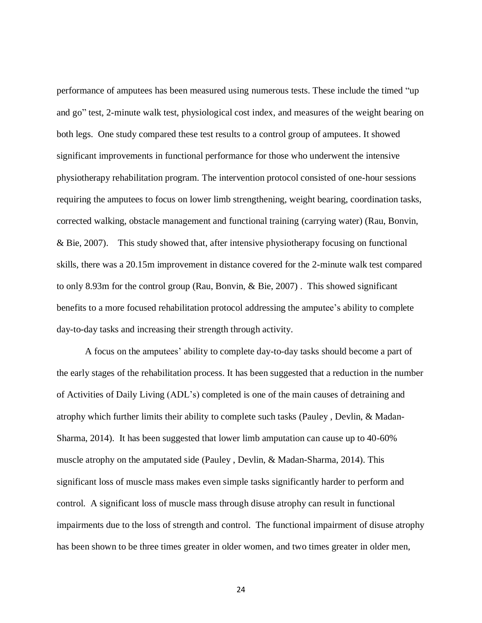performance of amputees has been measured using numerous tests. These include the timed "up and go" test, 2-minute walk test, physiological cost index, and measures of the weight bearing on both legs. One study compared these test results to a control group of amputees. It showed significant improvements in functional performance for those who underwent the intensive physiotherapy rehabilitation program. The intervention protocol consisted of one-hour sessions requiring the amputees to focus on lower limb strengthening, weight bearing, coordination tasks, corrected walking, obstacle management and functional training (carrying water) (Rau, Bonvin, & Bie, 2007). This study showed that, after intensive physiotherapy focusing on functional skills, there was a 20.15m improvement in distance covered for the 2-minute walk test compared to only 8.93m for the control group (Rau, Bonvin, & Bie, 2007) . This showed significant benefits to a more focused rehabilitation protocol addressing the amputee's ability to complete day-to-day tasks and increasing their strength through activity.

A focus on the amputees' ability to complete day-to-day tasks should become a part of the early stages of the rehabilitation process. It has been suggested that a reduction in the number of Activities of Daily Living (ADL's) completed is one of the main causes of detraining and atrophy which further limits their ability to complete such tasks (Pauley , Devlin, & Madan-Sharma, 2014). It has been suggested that lower limb amputation can cause up to 40-60% muscle atrophy on the amputated side (Pauley , Devlin, & Madan-Sharma, 2014). This significant loss of muscle mass makes even simple tasks significantly harder to perform and control. A significant loss of muscle mass through disuse atrophy can result in functional impairments due to the loss of strength and control. The functional impairment of disuse atrophy has been shown to be three times greater in older women, and two times greater in older men,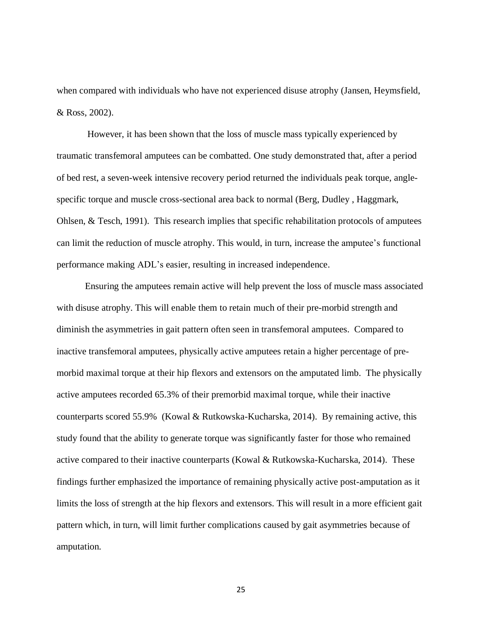when compared with individuals who have not experienced disuse atrophy (Jansen, Heymsfield, & Ross, 2002).

However, it has been shown that the loss of muscle mass typically experienced by traumatic transfemoral amputees can be combatted. One study demonstrated that, after a period of bed rest, a seven-week intensive recovery period returned the individuals peak torque, anglespecific torque and muscle cross-sectional area back to normal (Berg, Dudley , Haggmark, Ohlsen, & Tesch, 1991). This research implies that specific rehabilitation protocols of amputees can limit the reduction of muscle atrophy. This would, in turn, increase the amputee's functional performance making ADL's easier, resulting in increased independence.

Ensuring the amputees remain active will help prevent the loss of muscle mass associated with disuse atrophy. This will enable them to retain much of their pre-morbid strength and diminish the asymmetries in gait pattern often seen in transfemoral amputees. Compared to inactive transfemoral amputees, physically active amputees retain a higher percentage of premorbid maximal torque at their hip flexors and extensors on the amputated limb. The physically active amputees recorded 65.3% of their premorbid maximal torque, while their inactive counterparts scored 55.9% (Kowal & Rutkowska-Kucharska, 2014). By remaining active, this study found that the ability to generate torque was significantly faster for those who remained active compared to their inactive counterparts (Kowal & Rutkowska-Kucharska, 2014). These findings further emphasized the importance of remaining physically active post-amputation as it limits the loss of strength at the hip flexors and extensors. This will result in a more efficient gait pattern which, in turn, will limit further complications caused by gait asymmetries because of amputation.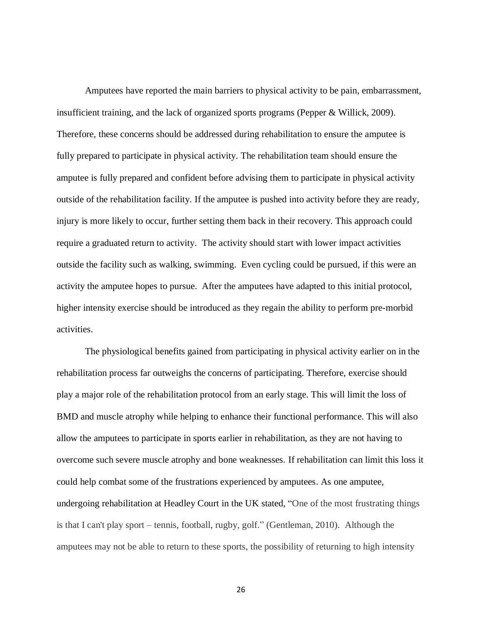Amputees have reported the main barriers to physical activity to be pain, embarrassment, insufficient training, and the lack of organized sports programs (Pepper & Willick, 2009). Therefore, these concerns should be addressed during rehabilitation to ensure the amputee is fully prepared to participate in physical activity. The rehabilitation team should ensure the amputee is fully prepared and confident before advising them to participate in physical activity outside of the rehabilitation facility. If the amputee is pushed into activity before they are ready, injury is more likely to occur, further setting them back in their recovery. This approach could require a graduated return to activity. The activity should start with lower impact activities outside the facility such as walking, swimming. Even cycling could be pursued, if this were an activity the amputee hopes to pursue. After the amputees have adapted to this initial protocol, higher intensity exercise should be introduced as they regain the ability to perform pre-morbid activities.

The physiological benefits gained from participating in physical activity earlier on in the rehabilitation process far outweighs the concerns of participating. Therefore, exercise should play a major role of the rehabilitation protocol from an early stage. This will limit the loss of BMD and muscle atrophy while helping to enhance their functional performance. This will also allow the amputees to participate in sports earlier in rehabilitation, as they are not having to overcome such severe muscle atrophy and bone weaknesses. If rehabilitation can limit this loss it could help combat some of the frustrations experienced by amputees. As one amputee, undergoing rehabilitation at Headley Court in the UK stated, "One of the most frustrating things is that I can't play sport – tennis, football, rugby, golf." (Gentleman, 2010). Although the amputees may not be able to return to these sports, the possibility of returning to high intensity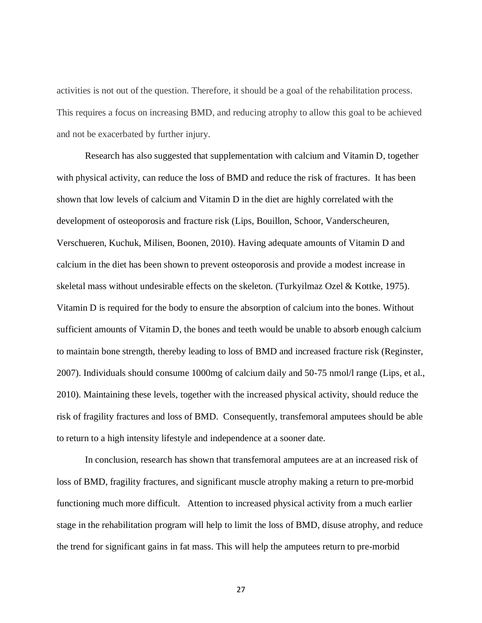activities is not out of the question. Therefore, it should be a goal of the rehabilitation process. This requires a focus on increasing BMD, and reducing atrophy to allow this goal to be achieved and not be exacerbated by further injury.

Research has also suggested that supplementation with calcium and Vitamin D, together with physical activity, can reduce the loss of BMD and reduce the risk of fractures. It has been shown that low levels of calcium and Vitamin D in the diet are highly correlated with the development of osteoporosis and fracture risk (Lips, Bouillon, Schoor, Vanderscheuren, Verschueren, Kuchuk, Milisen, Boonen, 2010). Having adequate amounts of Vitamin D and calcium in the diet has been shown to prevent osteoporosis and provide a modest increase in skeletal mass without undesirable effects on the skeleton. (Turkyilmaz Ozel & Kottke, 1975). Vitamin D is required for the body to ensure the absorption of calcium into the bones. Without sufficient amounts of Vitamin D, the bones and teeth would be unable to absorb enough calcium to maintain bone strength, thereby leading to loss of BMD and increased fracture risk (Reginster, 2007). Individuals should consume 1000mg of calcium daily and 50-75 nmol/l range (Lips, et al., 2010). Maintaining these levels, together with the increased physical activity, should reduce the risk of fragility fractures and loss of BMD. Consequently, transfemoral amputees should be able to return to a high intensity lifestyle and independence at a sooner date.

In conclusion, research has shown that transfemoral amputees are at an increased risk of loss of BMD, fragility fractures, and significant muscle atrophy making a return to pre-morbid functioning much more difficult. Attention to increased physical activity from a much earlier stage in the rehabilitation program will help to limit the loss of BMD, disuse atrophy, and reduce the trend for significant gains in fat mass. This will help the amputees return to pre-morbid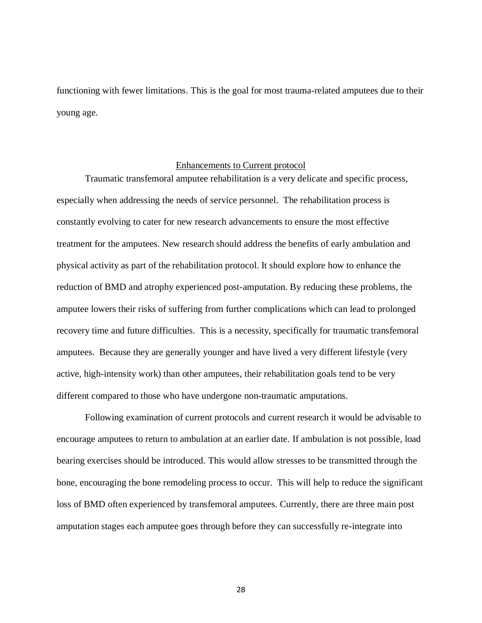functioning with fewer limitations. This is the goal for most trauma-related amputees due to their young age.

## Enhancements to Current protocol

Traumatic transfemoral amputee rehabilitation is a very delicate and specific process, especially when addressing the needs of service personnel. The rehabilitation process is constantly evolving to cater for new research advancements to ensure the most effective treatment for the amputees. New research should address the benefits of early ambulation and physical activity as part of the rehabilitation protocol. It should explore how to enhance the reduction of BMD and atrophy experienced post-amputation. By reducing these problems, the amputee lowers their risks of suffering from further complications which can lead to prolonged recovery time and future difficulties. This is a necessity, specifically for traumatic transfemoral amputees. Because they are generally younger and have lived a very different lifestyle (very active, high-intensity work) than other amputees, their rehabilitation goals tend to be very different compared to those who have undergone non-traumatic amputations.

Following examination of current protocols and current research it would be advisable to encourage amputees to return to ambulation at an earlier date. If ambulation is not possible, load bearing exercises should be introduced. This would allow stresses to be transmitted through the bone, encouraging the bone remodeling process to occur. This will help to reduce the significant loss of BMD often experienced by transfemoral amputees. Currently, there are three main post amputation stages each amputee goes through before they can successfully re-integrate into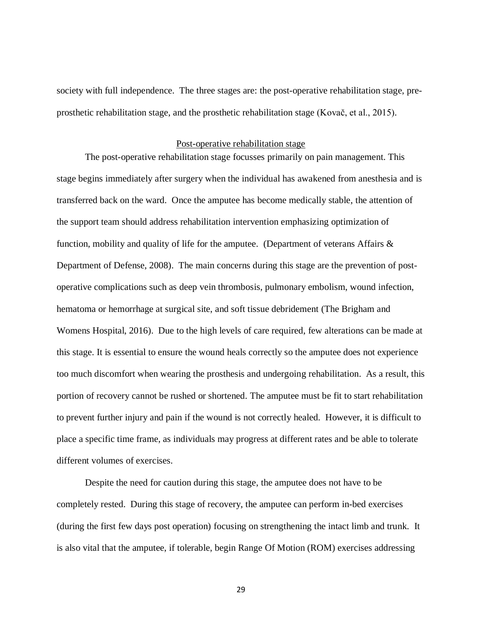society with full independence. The three stages are: the post-operative rehabilitation stage, preprosthetic rehabilitation stage, and the prosthetic rehabilitation stage (Kovač, et al., 2015).

#### Post-operative rehabilitation stage

The post-operative rehabilitation stage focusses primarily on pain management. This stage begins immediately after surgery when the individual has awakened from anesthesia and is transferred back on the ward. Once the amputee has become medically stable, the attention of the support team should address rehabilitation intervention emphasizing optimization of function, mobility and quality of life for the amputee. (Department of veterans Affairs  $\&$ Department of Defense, 2008). The main concerns during this stage are the prevention of postoperative complications such as deep vein thrombosis, pulmonary embolism, wound infection, hematoma or hemorrhage at surgical site, and soft tissue debridement (The Brigham and Womens Hospital, 2016). Due to the high levels of care required, few alterations can be made at this stage. It is essential to ensure the wound heals correctly so the amputee does not experience too much discomfort when wearing the prosthesis and undergoing rehabilitation. As a result, this portion of recovery cannot be rushed or shortened. The amputee must be fit to start rehabilitation to prevent further injury and pain if the wound is not correctly healed. However, it is difficult to place a specific time frame, as individuals may progress at different rates and be able to tolerate different volumes of exercises.

Despite the need for caution during this stage, the amputee does not have to be completely rested. During this stage of recovery, the amputee can perform in-bed exercises (during the first few days post operation) focusing on strengthening the intact limb and trunk. It is also vital that the amputee, if tolerable, begin Range Of Motion (ROM) exercises addressing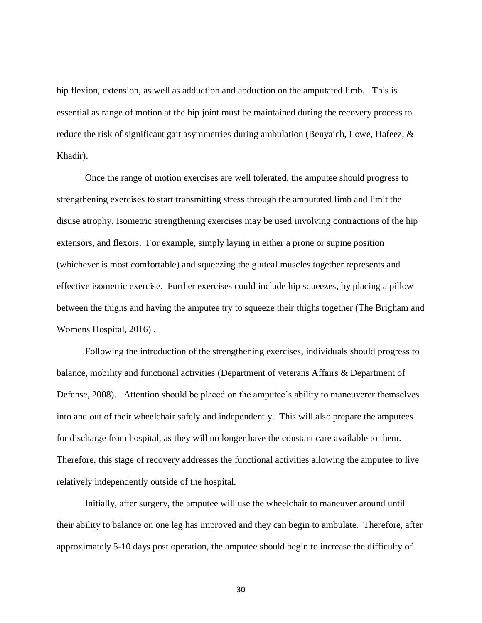hip flexion, extension, as well as adduction and abduction on the amputated limb. This is essential as range of motion at the hip joint must be maintained during the recovery process to reduce the risk of significant gait asymmetries during ambulation (Benyaich, Lowe, Hafeez, & Khadir).

Once the range of motion exercises are well tolerated, the amputee should progress to strengthening exercises to start transmitting stress through the amputated limb and limit the disuse atrophy. Isometric strengthening exercises may be used involving contractions of the hip extensors, and flexors. For example, simply laying in either a prone or supine position (whichever is most comfortable) and squeezing the gluteal muscles together represents and effective isometric exercise. Further exercises could include hip squeezes, by placing a pillow between the thighs and having the amputee try to squeeze their thighs together (The Brigham and Womens Hospital, 2016) .

Following the introduction of the strengthening exercises, individuals should progress to balance, mobility and functional activities (Department of veterans Affairs & Department of Defense, 2008). Attention should be placed on the amputee's ability to maneuverer themselves into and out of their wheelchair safely and independently. This will also prepare the amputees for discharge from hospital, as they will no longer have the constant care available to them. Therefore, this stage of recovery addresses the functional activities allowing the amputee to live relatively independently outside of the hospital.

Initially, after surgery, the amputee will use the wheelchair to maneuver around until their ability to balance on one leg has improved and they can begin to ambulate. Therefore, after approximately 5-10 days post operation, the amputee should begin to increase the difficulty of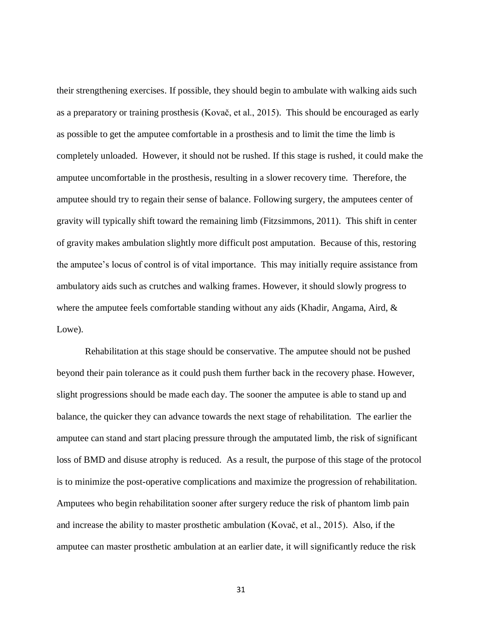their strengthening exercises. If possible, they should begin to ambulate with walking aids such as a preparatory or training prosthesis (Kovač, et al., 2015). This should be encouraged as early as possible to get the amputee comfortable in a prosthesis and to limit the time the limb is completely unloaded. However, it should not be rushed. If this stage is rushed, it could make the amputee uncomfortable in the prosthesis, resulting in a slower recovery time. Therefore, the amputee should try to regain their sense of balance. Following surgery, the amputees center of gravity will typically shift toward the remaining limb (Fitzsimmons, 2011). This shift in center of gravity makes ambulation slightly more difficult post amputation. Because of this, restoring the amputee's locus of control is of vital importance. This may initially require assistance from ambulatory aids such as crutches and walking frames. However, it should slowly progress to where the amputee feels comfortable standing without any aids (Khadir, Angama, Aird, & Lowe).

Rehabilitation at this stage should be conservative. The amputee should not be pushed beyond their pain tolerance as it could push them further back in the recovery phase. However, slight progressions should be made each day. The sooner the amputee is able to stand up and balance, the quicker they can advance towards the next stage of rehabilitation. The earlier the amputee can stand and start placing pressure through the amputated limb, the risk of significant loss of BMD and disuse atrophy is reduced. As a result, the purpose of this stage of the protocol is to minimize the post-operative complications and maximize the progression of rehabilitation. Amputees who begin rehabilitation sooner after surgery reduce the risk of phantom limb pain and increase the ability to master prosthetic ambulation (Kovač, et al., 2015). Also, if the amputee can master prosthetic ambulation at an earlier date, it will significantly reduce the risk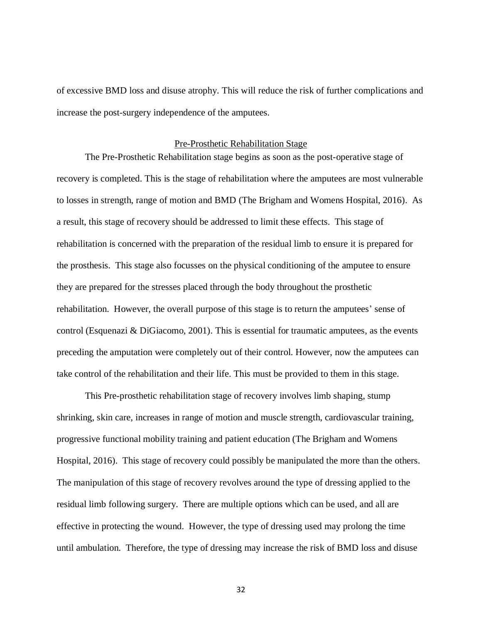of excessive BMD loss and disuse atrophy. This will reduce the risk of further complications and increase the post-surgery independence of the amputees.

#### Pre-Prosthetic Rehabilitation Stage

The Pre-Prosthetic Rehabilitation stage begins as soon as the post-operative stage of recovery is completed. This is the stage of rehabilitation where the amputees are most vulnerable to losses in strength, range of motion and BMD (The Brigham and Womens Hospital, 2016). As a result, this stage of recovery should be addressed to limit these effects. This stage of rehabilitation is concerned with the preparation of the residual limb to ensure it is prepared for the prosthesis. This stage also focusses on the physical conditioning of the amputee to ensure they are prepared for the stresses placed through the body throughout the prosthetic rehabilitation. However, the overall purpose of this stage is to return the amputees' sense of control (Esquenazi & DiGiacomo, 2001). This is essential for traumatic amputees, as the events preceding the amputation were completely out of their control. However, now the amputees can take control of the rehabilitation and their life. This must be provided to them in this stage.

This Pre-prosthetic rehabilitation stage of recovery involves limb shaping, stump shrinking, skin care, increases in range of motion and muscle strength, cardiovascular training, progressive functional mobility training and patient education (The Brigham and Womens Hospital, 2016). This stage of recovery could possibly be manipulated the more than the others. The manipulation of this stage of recovery revolves around the type of dressing applied to the residual limb following surgery. There are multiple options which can be used, and all are effective in protecting the wound. However, the type of dressing used may prolong the time until ambulation. Therefore, the type of dressing may increase the risk of BMD loss and disuse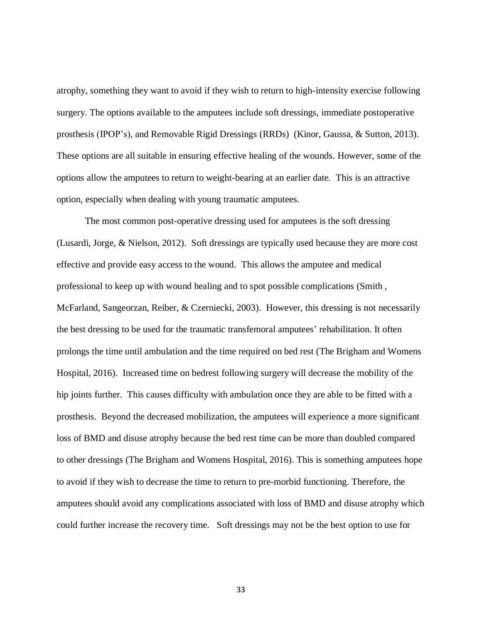atrophy, something they want to avoid if they wish to return to high-intensity exercise following surgery. The options available to the amputees include soft dressings, immediate postoperative prosthesis (IPOP's), and Removable Rigid Dressings (RRDs) (Kinor, Gaussa, & Sutton, 2013). These options are all suitable in ensuring effective healing of the wounds. However, some of the options allow the amputees to return to weight-bearing at an earlier date. This is an attractive option, especially when dealing with young traumatic amputees.

The most common post-operative dressing used for amputees is the soft dressing (Lusardi, Jorge, & Nielson, 2012). Soft dressings are typically used because they are more cost effective and provide easy access to the wound. This allows the amputee and medical professional to keep up with wound healing and to spot possible complications (Smith , McFarland, Sangeorzan, Reiber, & Czerniecki, 2003). However, this dressing is not necessarily the best dressing to be used for the traumatic transfemoral amputees' rehabilitation. It often prolongs the time until ambulation and the time required on bed rest (The Brigham and Womens Hospital, 2016). Increased time on bedrest following surgery will decrease the mobility of the hip joints further. This causes difficulty with ambulation once they are able to be fitted with a prosthesis. Beyond the decreased mobilization, the amputees will experience a more significant loss of BMD and disuse atrophy because the bed rest time can be more than doubled compared to other dressings (The Brigham and Womens Hospital, 2016). This is something amputees hope to avoid if they wish to decrease the time to return to pre-morbid functioning. Therefore, the amputees should avoid any complications associated with loss of BMD and disuse atrophy which could further increase the recovery time. Soft dressings may not be the best option to use for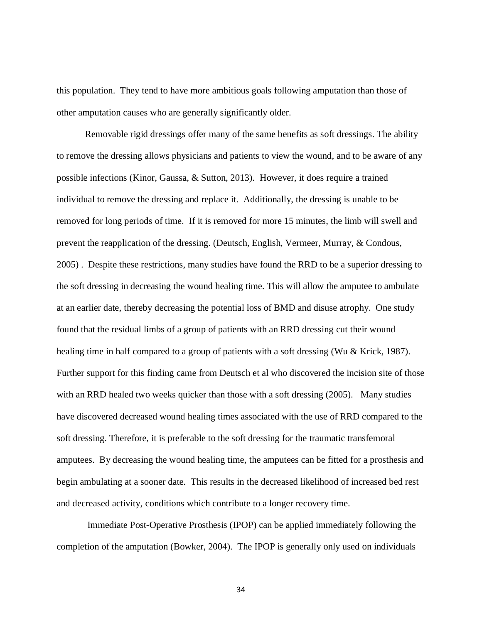this population. They tend to have more ambitious goals following amputation than those of other amputation causes who are generally significantly older.

Removable rigid dressings offer many of the same benefits as soft dressings. The ability to remove the dressing allows physicians and patients to view the wound, and to be aware of any possible infections (Kinor, Gaussa, & Sutton, 2013). However, it does require a trained individual to remove the dressing and replace it. Additionally, the dressing is unable to be removed for long periods of time. If it is removed for more 15 minutes, the limb will swell and prevent the reapplication of the dressing. (Deutsch, English, Vermeer, Murray, & Condous, 2005) . Despite these restrictions, many studies have found the RRD to be a superior dressing to the soft dressing in decreasing the wound healing time. This will allow the amputee to ambulate at an earlier date, thereby decreasing the potential loss of BMD and disuse atrophy. One study found that the residual limbs of a group of patients with an RRD dressing cut their wound healing time in half compared to a group of patients with a soft dressing (Wu & Krick, 1987). Further support for this finding came from Deutsch et al who discovered the incision site of those with an RRD healed two weeks quicker than those with a soft dressing (2005). Many studies have discovered decreased wound healing times associated with the use of RRD compared to the soft dressing. Therefore, it is preferable to the soft dressing for the traumatic transfemoral amputees. By decreasing the wound healing time, the amputees can be fitted for a prosthesis and begin ambulating at a sooner date. This results in the decreased likelihood of increased bed rest and decreased activity, conditions which contribute to a longer recovery time.

Immediate Post-Operative Prosthesis (IPOP) can be applied immediately following the completion of the amputation (Bowker, 2004). The IPOP is generally only used on individuals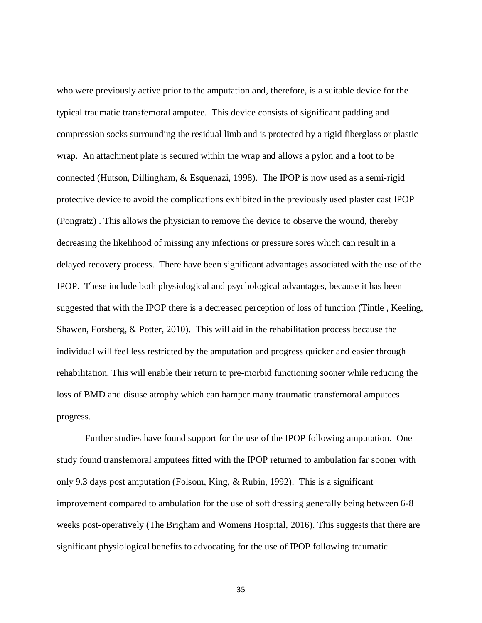who were previously active prior to the amputation and, therefore, is a suitable device for the typical traumatic transfemoral amputee. This device consists of significant padding and compression socks surrounding the residual limb and is protected by a rigid fiberglass or plastic wrap. An attachment plate is secured within the wrap and allows a pylon and a foot to be connected (Hutson, Dillingham, & Esquenazi, 1998). The IPOP is now used as a semi-rigid protective device to avoid the complications exhibited in the previously used plaster cast IPOP (Pongratz) . This allows the physician to remove the device to observe the wound, thereby decreasing the likelihood of missing any infections or pressure sores which can result in a delayed recovery process. There have been significant advantages associated with the use of the IPOP. These include both physiological and psychological advantages, because it has been suggested that with the IPOP there is a decreased perception of loss of function (Tintle , Keeling, Shawen, Forsberg, & Potter, 2010). This will aid in the rehabilitation process because the individual will feel less restricted by the amputation and progress quicker and easier through rehabilitation. This will enable their return to pre-morbid functioning sooner while reducing the loss of BMD and disuse atrophy which can hamper many traumatic transfemoral amputees progress.

Further studies have found support for the use of the IPOP following amputation. One study found transfemoral amputees fitted with the IPOP returned to ambulation far sooner with only 9.3 days post amputation (Folsom, King, & Rubin, 1992). This is a significant improvement compared to ambulation for the use of soft dressing generally being between 6-8 weeks post-operatively (The Brigham and Womens Hospital, 2016). This suggests that there are significant physiological benefits to advocating for the use of IPOP following traumatic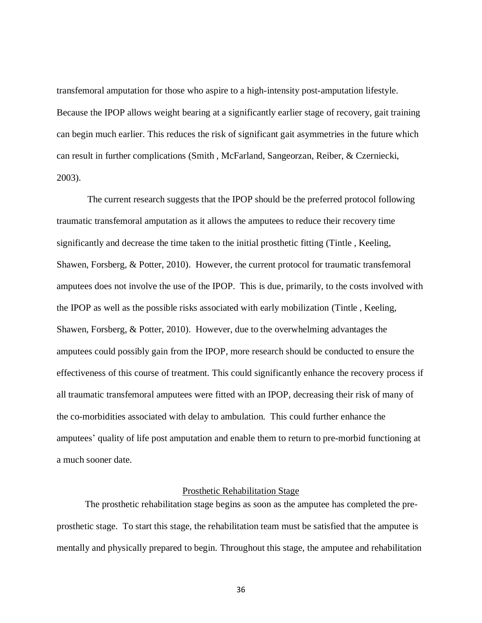transfemoral amputation for those who aspire to a high-intensity post-amputation lifestyle. Because the IPOP allows weight bearing at a significantly earlier stage of recovery, gait training can begin much earlier. This reduces the risk of significant gait asymmetries in the future which can result in further complications (Smith , McFarland, Sangeorzan, Reiber, & Czerniecki, 2003).

The current research suggests that the IPOP should be the preferred protocol following traumatic transfemoral amputation as it allows the amputees to reduce their recovery time significantly and decrease the time taken to the initial prosthetic fitting (Tintle , Keeling, Shawen, Forsberg, & Potter, 2010). However, the current protocol for traumatic transfemoral amputees does not involve the use of the IPOP. This is due, primarily, to the costs involved with the IPOP as well as the possible risks associated with early mobilization (Tintle , Keeling, Shawen, Forsberg, & Potter, 2010). However, due to the overwhelming advantages the amputees could possibly gain from the IPOP, more research should be conducted to ensure the effectiveness of this course of treatment. This could significantly enhance the recovery process if all traumatic transfemoral amputees were fitted with an IPOP, decreasing their risk of many of the co-morbidities associated with delay to ambulation. This could further enhance the amputees' quality of life post amputation and enable them to return to pre-morbid functioning at a much sooner date.

#### Prosthetic Rehabilitation Stage

The prosthetic rehabilitation stage begins as soon as the amputee has completed the preprosthetic stage. To start this stage, the rehabilitation team must be satisfied that the amputee is mentally and physically prepared to begin. Throughout this stage, the amputee and rehabilitation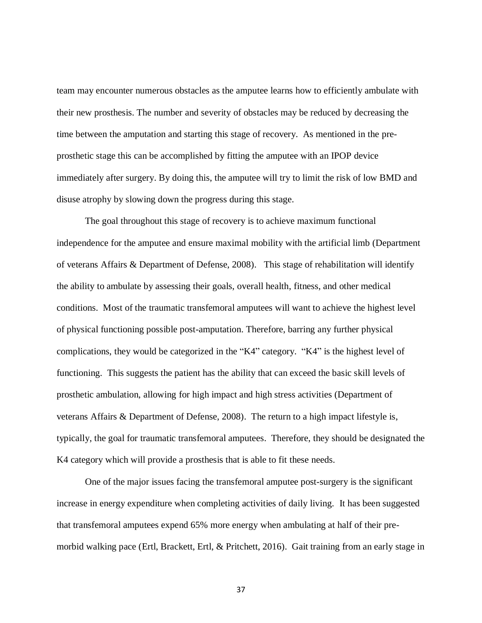team may encounter numerous obstacles as the amputee learns how to efficiently ambulate with their new prosthesis. The number and severity of obstacles may be reduced by decreasing the time between the amputation and starting this stage of recovery. As mentioned in the preprosthetic stage this can be accomplished by fitting the amputee with an IPOP device immediately after surgery. By doing this, the amputee will try to limit the risk of low BMD and disuse atrophy by slowing down the progress during this stage.

The goal throughout this stage of recovery is to achieve maximum functional independence for the amputee and ensure maximal mobility with the artificial limb (Department of veterans Affairs & Department of Defense, 2008). This stage of rehabilitation will identify the ability to ambulate by assessing their goals, overall health, fitness, and other medical conditions. Most of the traumatic transfemoral amputees will want to achieve the highest level of physical functioning possible post-amputation. Therefore, barring any further physical complications, they would be categorized in the "K4" category. "K4" is the highest level of functioning. This suggests the patient has the ability that can exceed the basic skill levels of prosthetic ambulation, allowing for high impact and high stress activities (Department of veterans Affairs & Department of Defense, 2008). The return to a high impact lifestyle is, typically, the goal for traumatic transfemoral amputees. Therefore, they should be designated the K4 category which will provide a prosthesis that is able to fit these needs.

One of the major issues facing the transfemoral amputee post-surgery is the significant increase in energy expenditure when completing activities of daily living. It has been suggested that transfemoral amputees expend 65% more energy when ambulating at half of their premorbid walking pace (Ertl, Brackett, Ertl, & Pritchett, 2016). Gait training from an early stage in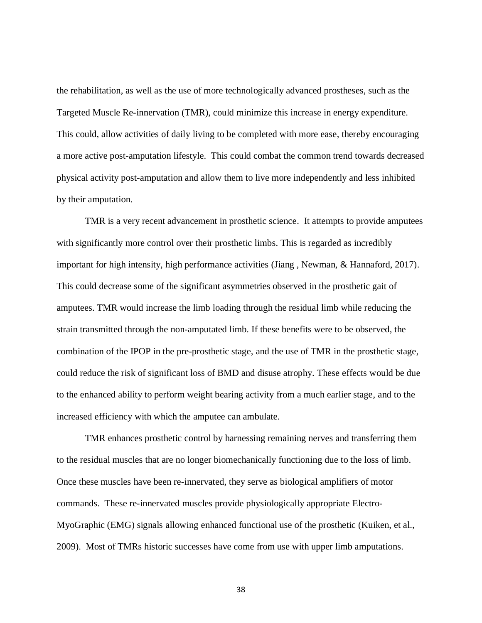the rehabilitation, as well as the use of more technologically advanced prostheses, such as the Targeted Muscle Re-innervation (TMR), could minimize this increase in energy expenditure. This could, allow activities of daily living to be completed with more ease, thereby encouraging a more active post-amputation lifestyle. This could combat the common trend towards decreased physical activity post-amputation and allow them to live more independently and less inhibited by their amputation.

TMR is a very recent advancement in prosthetic science. It attempts to provide amputees with significantly more control over their prosthetic limbs. This is regarded as incredibly important for high intensity, high performance activities (Jiang , Newman, & Hannaford, 2017). This could decrease some of the significant asymmetries observed in the prosthetic gait of amputees. TMR would increase the limb loading through the residual limb while reducing the strain transmitted through the non-amputated limb. If these benefits were to be observed, the combination of the IPOP in the pre-prosthetic stage, and the use of TMR in the prosthetic stage, could reduce the risk of significant loss of BMD and disuse atrophy. These effects would be due to the enhanced ability to perform weight bearing activity from a much earlier stage, and to the increased efficiency with which the amputee can ambulate.

TMR enhances prosthetic control by harnessing remaining nerves and transferring them to the residual muscles that are no longer biomechanically functioning due to the loss of limb. Once these muscles have been re-innervated, they serve as biological amplifiers of motor commands. These re-innervated muscles provide physiologically appropriate Electro-MyoGraphic (EMG) signals allowing enhanced functional use of the prosthetic (Kuiken, et al., 2009). Most of TMRs historic successes have come from use with upper limb amputations.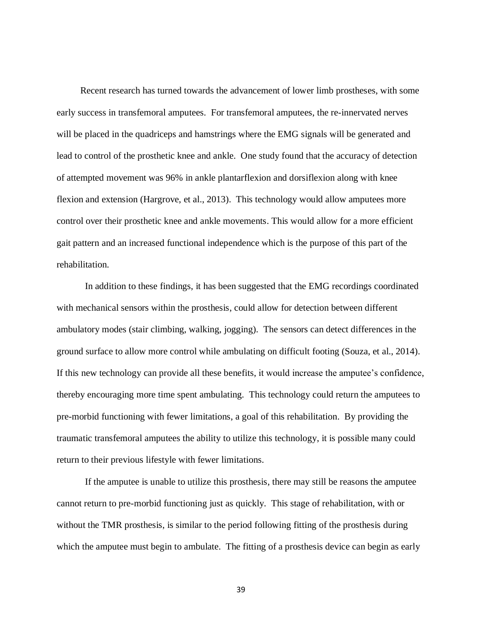Recent research has turned towards the advancement of lower limb prostheses, with some early success in transfemoral amputees. For transfemoral amputees, the re-innervated nerves will be placed in the quadriceps and hamstrings where the EMG signals will be generated and lead to control of the prosthetic knee and ankle. One study found that the accuracy of detection of attempted movement was 96% in ankle plantarflexion and dorsiflexion along with knee flexion and extension (Hargrove, et al., 2013). This technology would allow amputees more control over their prosthetic knee and ankle movements. This would allow for a more efficient gait pattern and an increased functional independence which is the purpose of this part of the rehabilitation.

In addition to these findings, it has been suggested that the EMG recordings coordinated with mechanical sensors within the prosthesis, could allow for detection between different ambulatory modes (stair climbing, walking, jogging). The sensors can detect differences in the ground surface to allow more control while ambulating on difficult footing (Souza, et al., 2014). If this new technology can provide all these benefits, it would increase the amputee's confidence, thereby encouraging more time spent ambulating. This technology could return the amputees to pre-morbid functioning with fewer limitations, a goal of this rehabilitation. By providing the traumatic transfemoral amputees the ability to utilize this technology, it is possible many could return to their previous lifestyle with fewer limitations.

If the amputee is unable to utilize this prosthesis, there may still be reasons the amputee cannot return to pre-morbid functioning just as quickly. This stage of rehabilitation, with or without the TMR prosthesis, is similar to the period following fitting of the prosthesis during which the amputee must begin to ambulate. The fitting of a prosthesis device can begin as early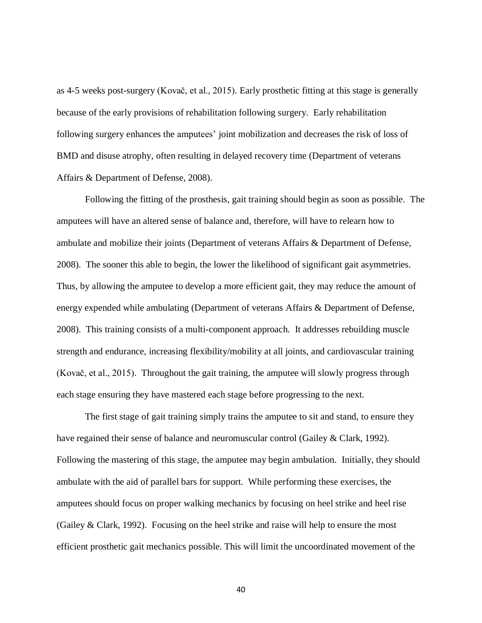as 4-5 weeks post-surgery (Kovač, et al., 2015). Early prosthetic fitting at this stage is generally because of the early provisions of rehabilitation following surgery. Early rehabilitation following surgery enhances the amputees' joint mobilization and decreases the risk of loss of BMD and disuse atrophy, often resulting in delayed recovery time (Department of veterans Affairs & Department of Defense, 2008).

Following the fitting of the prosthesis, gait training should begin as soon as possible. The amputees will have an altered sense of balance and, therefore, will have to relearn how to ambulate and mobilize their joints (Department of veterans Affairs & Department of Defense, 2008). The sooner this able to begin, the lower the likelihood of significant gait asymmetries. Thus, by allowing the amputee to develop a more efficient gait, they may reduce the amount of energy expended while ambulating (Department of veterans Affairs & Department of Defense, 2008). This training consists of a multi-component approach. It addresses rebuilding muscle strength and endurance, increasing flexibility/mobility at all joints, and cardiovascular training (Kovač, et al., 2015). Throughout the gait training, the amputee will slowly progress through each stage ensuring they have mastered each stage before progressing to the next.

The first stage of gait training simply trains the amputee to sit and stand, to ensure they have regained their sense of balance and neuromuscular control (Gailey & Clark, 1992). Following the mastering of this stage, the amputee may begin ambulation. Initially, they should ambulate with the aid of parallel bars for support. While performing these exercises, the amputees should focus on proper walking mechanics by focusing on heel strike and heel rise (Gailey & Clark, 1992). Focusing on the heel strike and raise will help to ensure the most efficient prosthetic gait mechanics possible. This will limit the uncoordinated movement of the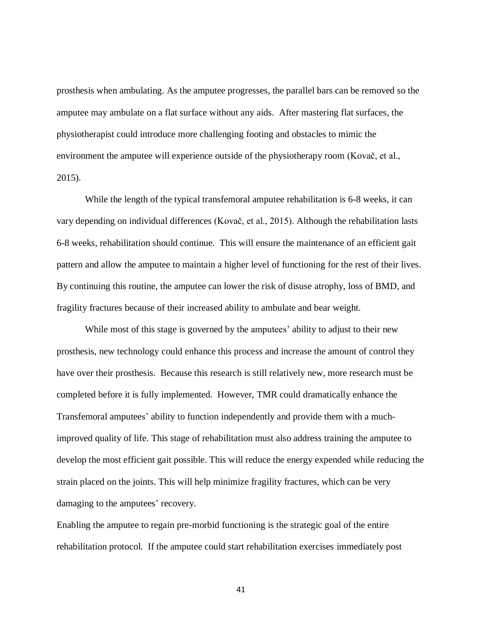prosthesis when ambulating. As the amputee progresses, the parallel bars can be removed so the amputee may ambulate on a flat surface without any aids. After mastering flat surfaces, the physiotherapist could introduce more challenging footing and obstacles to mimic the environment the amputee will experience outside of the physiotherapy room (Kovač, et al., 2015).

While the length of the typical transfemoral amputee rehabilitation is 6-8 weeks, it can vary depending on individual differences (Kovač, et al., 2015). Although the rehabilitation lasts 6-8 weeks, rehabilitation should continue. This will ensure the maintenance of an efficient gait pattern and allow the amputee to maintain a higher level of functioning for the rest of their lives. By continuing this routine, the amputee can lower the risk of disuse atrophy, loss of BMD, and fragility fractures because of their increased ability to ambulate and bear weight.

While most of this stage is governed by the amputees' ability to adjust to their new prosthesis, new technology could enhance this process and increase the amount of control they have over their prosthesis. Because this research is still relatively new, more research must be completed before it is fully implemented. However, TMR could dramatically enhance the Transfemoral amputees' ability to function independently and provide them with a muchimproved quality of life. This stage of rehabilitation must also address training the amputee to develop the most efficient gait possible. This will reduce the energy expended while reducing the strain placed on the joints. This will help minimize fragility fractures, which can be very damaging to the amputees' recovery.

Enabling the amputee to regain pre-morbid functioning is the strategic goal of the entire rehabilitation protocol. If the amputee could start rehabilitation exercises immediately post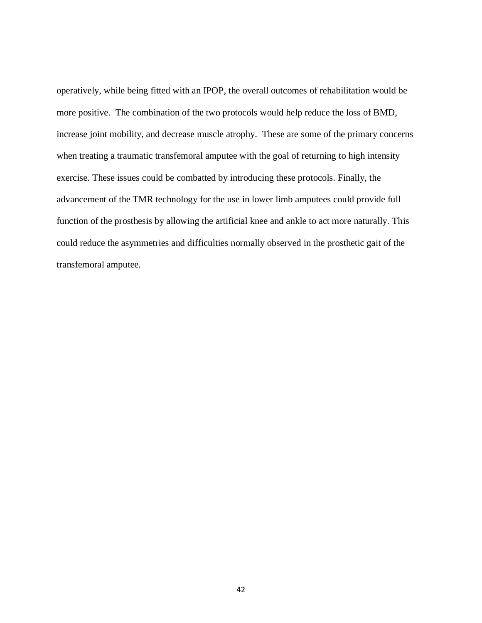operatively, while being fitted with an IPOP, the overall outcomes of rehabilitation would be more positive. The combination of the two protocols would help reduce the loss of BMD, increase joint mobility, and decrease muscle atrophy. These are some of the primary concerns when treating a traumatic transfemoral amputee with the goal of returning to high intensity exercise. These issues could be combatted by introducing these protocols. Finally, the advancement of the TMR technology for the use in lower limb amputees could provide full function of the prosthesis by allowing the artificial knee and ankle to act more naturally. This could reduce the asymmetries and difficulties normally observed in the prosthetic gait of the transfemoral amputee.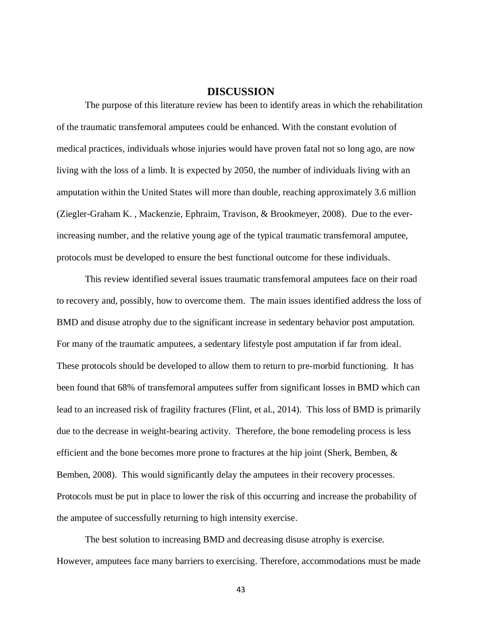## **DISCUSSION**

The purpose of this literature review has been to identify areas in which the rehabilitation of the traumatic transfemoral amputees could be enhanced. With the constant evolution of medical practices, individuals whose injuries would have proven fatal not so long ago, are now living with the loss of a limb. It is expected by 2050, the number of individuals living with an amputation within the United States will more than double, reaching approximately 3.6 million (Ziegler-Graham K. , Mackenzie, Ephraim, Travison, & Brookmeyer, 2008). Due to the everincreasing number, and the relative young age of the typical traumatic transfemoral amputee, protocols must be developed to ensure the best functional outcome for these individuals.

This review identified several issues traumatic transfemoral amputees face on their road to recovery and, possibly, how to overcome them. The main issues identified address the loss of BMD and disuse atrophy due to the significant increase in sedentary behavior post amputation. For many of the traumatic amputees, a sedentary lifestyle post amputation if far from ideal. These protocols should be developed to allow them to return to pre-morbid functioning. It has been found that 68% of transfemoral amputees suffer from significant losses in BMD which can lead to an increased risk of fragility fractures (Flint, et al., 2014). This loss of BMD is primarily due to the decrease in weight-bearing activity. Therefore, the bone remodeling process is less efficient and the bone becomes more prone to fractures at the hip joint (Sherk, Bemben, & Bemben, 2008). This would significantly delay the amputees in their recovery processes. Protocols must be put in place to lower the risk of this occurring and increase the probability of the amputee of successfully returning to high intensity exercise.

The best solution to increasing BMD and decreasing disuse atrophy is exercise. However, amputees face many barriers to exercising. Therefore, accommodations must be made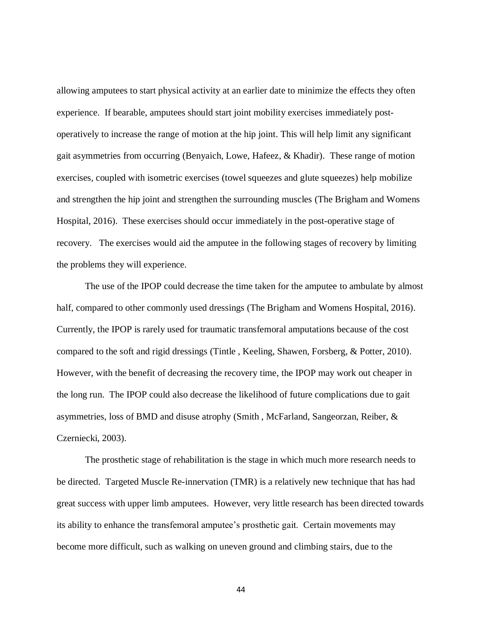allowing amputees to start physical activity at an earlier date to minimize the effects they often experience. If bearable, amputees should start joint mobility exercises immediately postoperatively to increase the range of motion at the hip joint. This will help limit any significant gait asymmetries from occurring (Benyaich, Lowe, Hafeez, & Khadir). These range of motion exercises, coupled with isometric exercises (towel squeezes and glute squeezes) help mobilize and strengthen the hip joint and strengthen the surrounding muscles (The Brigham and Womens Hospital, 2016). These exercises should occur immediately in the post-operative stage of recovery. The exercises would aid the amputee in the following stages of recovery by limiting the problems they will experience.

The use of the IPOP could decrease the time taken for the amputee to ambulate by almost half, compared to other commonly used dressings (The Brigham and Womens Hospital, 2016). Currently, the IPOP is rarely used for traumatic transfemoral amputations because of the cost compared to the soft and rigid dressings (Tintle , Keeling, Shawen, Forsberg, & Potter, 2010). However, with the benefit of decreasing the recovery time, the IPOP may work out cheaper in the long run. The IPOP could also decrease the likelihood of future complications due to gait asymmetries, loss of BMD and disuse atrophy (Smith , McFarland, Sangeorzan, Reiber, & Czerniecki, 2003).

The prosthetic stage of rehabilitation is the stage in which much more research needs to be directed. Targeted Muscle Re-innervation (TMR) is a relatively new technique that has had great success with upper limb amputees. However, very little research has been directed towards its ability to enhance the transfemoral amputee's prosthetic gait. Certain movements may become more difficult, such as walking on uneven ground and climbing stairs, due to the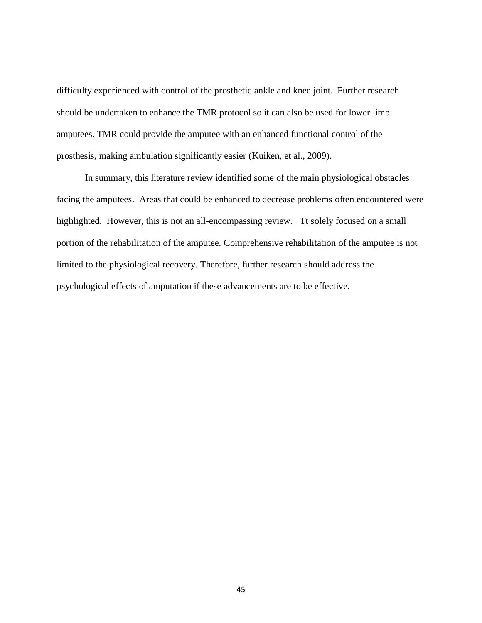difficulty experienced with control of the prosthetic ankle and knee joint. Further research should be undertaken to enhance the TMR protocol so it can also be used for lower limb amputees. TMR could provide the amputee with an enhanced functional control of the prosthesis, making ambulation significantly easier (Kuiken, et al., 2009).

In summary, this literature review identified some of the main physiological obstacles facing the amputees. Areas that could be enhanced to decrease problems often encountered were highlighted. However, this is not an all-encompassing review. Tt solely focused on a small portion of the rehabilitation of the amputee. Comprehensive rehabilitation of the amputee is not limited to the physiological recovery. Therefore, further research should address the psychological effects of amputation if these advancements are to be effective.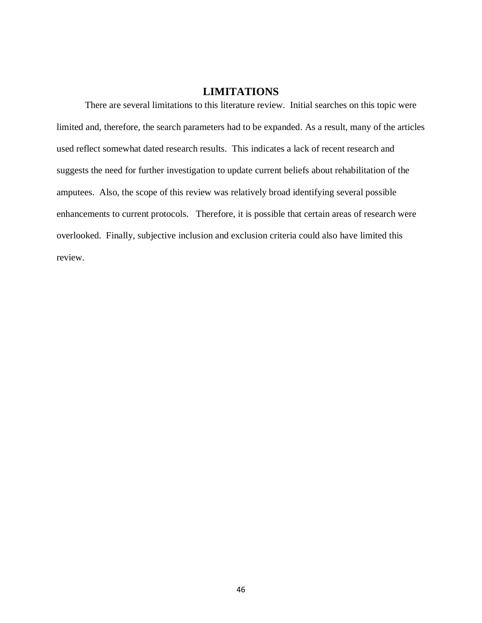## **LIMITATIONS**

There are several limitations to this literature review. Initial searches on this topic were limited and, therefore, the search parameters had to be expanded. As a result, many of the articles used reflect somewhat dated research results. This indicates a lack of recent research and suggests the need for further investigation to update current beliefs about rehabilitation of the amputees. Also, the scope of this review was relatively broad identifying several possible enhancements to current protocols. Therefore, it is possible that certain areas of research were overlooked. Finally, subjective inclusion and exclusion criteria could also have limited this review.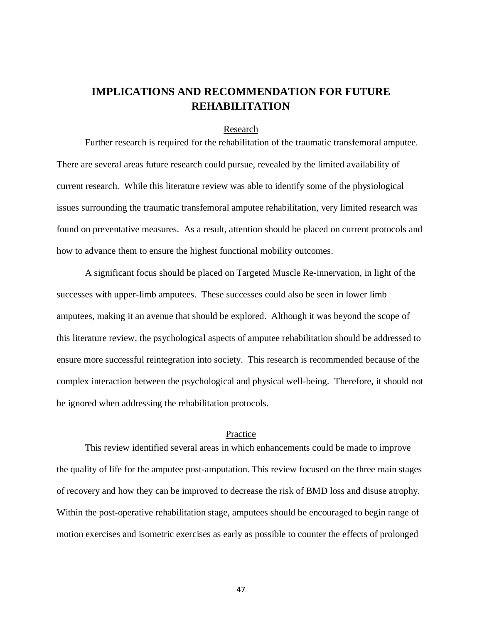## **IMPLICATIONS AND RECOMMENDATION FOR FUTURE REHABILITATION**

## Research

Further research is required for the rehabilitation of the traumatic transfemoral amputee. There are several areas future research could pursue, revealed by the limited availability of current research. While this literature review was able to identify some of the physiological issues surrounding the traumatic transfemoral amputee rehabilitation, very limited research was found on preventative measures. As a result, attention should be placed on current protocols and how to advance them to ensure the highest functional mobility outcomes.

A significant focus should be placed on Targeted Muscle Re-innervation, in light of the successes with upper-limb amputees. These successes could also be seen in lower limb amputees, making it an avenue that should be explored. Although it was beyond the scope of this literature review, the psychological aspects of amputee rehabilitation should be addressed to ensure more successful reintegration into society. This research is recommended because of the complex interaction between the psychological and physical well-being. Therefore, it should not be ignored when addressing the rehabilitation protocols.

## Practice

This review identified several areas in which enhancements could be made to improve the quality of life for the amputee post-amputation. This review focused on the three main stages of recovery and how they can be improved to decrease the risk of BMD loss and disuse atrophy. Within the post-operative rehabilitation stage, amputees should be encouraged to begin range of motion exercises and isometric exercises as early as possible to counter the effects of prolonged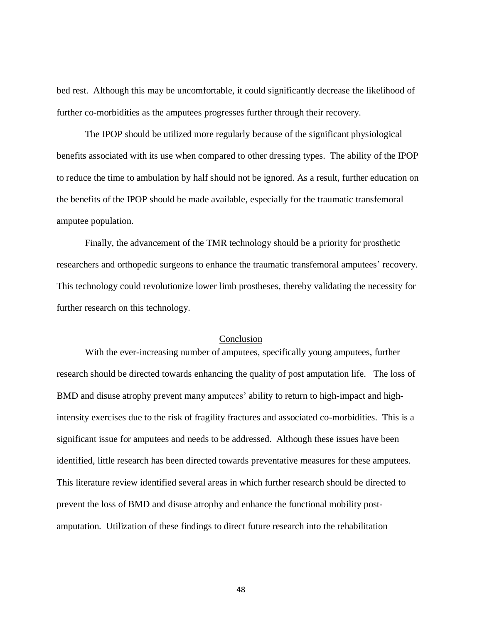bed rest. Although this may be uncomfortable, it could significantly decrease the likelihood of further co-morbidities as the amputees progresses further through their recovery.

The IPOP should be utilized more regularly because of the significant physiological benefits associated with its use when compared to other dressing types. The ability of the IPOP to reduce the time to ambulation by half should not be ignored. As a result, further education on the benefits of the IPOP should be made available, especially for the traumatic transfemoral amputee population.

Finally, the advancement of the TMR technology should be a priority for prosthetic researchers and orthopedic surgeons to enhance the traumatic transfemoral amputees' recovery. This technology could revolutionize lower limb prostheses, thereby validating the necessity for further research on this technology.

## **Conclusion**

With the ever-increasing number of amputees, specifically young amputees, further research should be directed towards enhancing the quality of post amputation life. The loss of BMD and disuse atrophy prevent many amputees' ability to return to high-impact and highintensity exercises due to the risk of fragility fractures and associated co-morbidities. This is a significant issue for amputees and needs to be addressed. Although these issues have been identified, little research has been directed towards preventative measures for these amputees. This literature review identified several areas in which further research should be directed to prevent the loss of BMD and disuse atrophy and enhance the functional mobility postamputation. Utilization of these findings to direct future research into the rehabilitation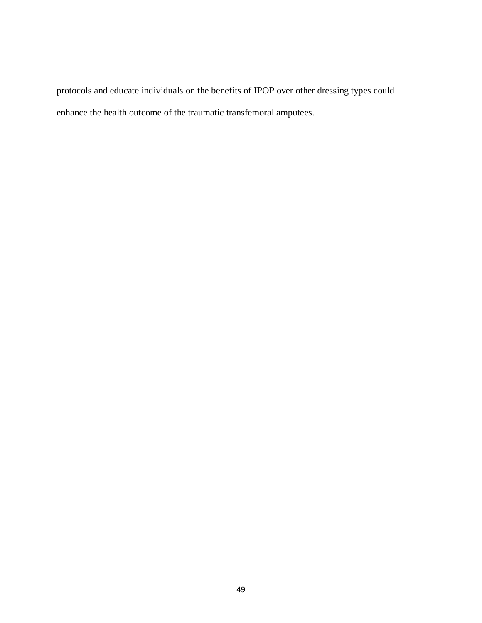protocols and educate individuals on the benefits of IPOP over other dressing types could enhance the health outcome of the traumatic transfemoral amputees.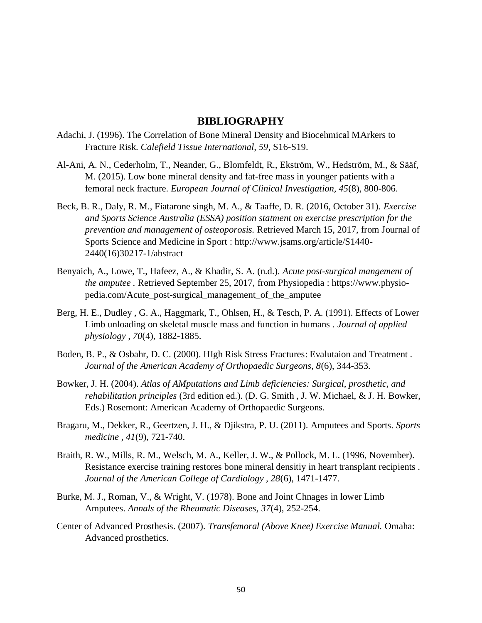## **BIBLIOGRAPHY**

- Adachi, J. (1996). The Correlation of Bone Mineral Density and Biocehmical MArkers to Fracture Risk. *Calefield Tissue International, 59*, S16-S19.
- Al-Ani, A. N., Cederholm, T., Neander, G., Blomfeldt, R., Ekström, W., Hedström, M., & Sääf, M. (2015). Low bone mineral density and fat-free mass in younger patients with a femoral neck fracture. *European Journal of Clinical Investigation, 45*(8), 800-806.
- Beck, B. R., Daly, R. M., Fiatarone singh, M. A., & Taaffe, D. R. (2016, October 31). *Exercise and Sports Science Australia (ESSA) position statment on exercise prescription for the prevention and management of osteoporosis.* Retrieved March 15, 2017, from Journal of Sports Science and Medicine in Sport : http://www.jsams.org/article/S1440- 2440(16)30217-1/abstract
- Benyaich, A., Lowe, T., Hafeez, A., & Khadir, S. A. (n.d.). *Acute post-surgical mangement of the amputee .* Retrieved September 25, 2017, from Physiopedia : https://www.physiopedia.com/Acute\_post-surgical\_management\_of\_the\_amputee
- Berg, H. E., Dudley , G. A., Haggmark, T., Ohlsen, H., & Tesch, P. A. (1991). Effects of Lower Limb unloading on skeletal muscle mass and function in humans . *Journal of applied physiology , 70*(4), 1882-1885.
- Boden, B. P., & Osbahr, D. C. (2000). HIgh Risk Stress Fractures: Evalutaion and Treatment . *Journal of the American Academy of Orthopaedic Surgeons, 8*(6), 344-353.
- Bowker, J. H. (2004). *Atlas of AMputations and Limb deficiencies: Surgical, prosthetic, and rehabilitation principles* (3rd edition ed.). (D. G. Smith , J. W. Michael, & J. H. Bowker, Eds.) Rosemont: American Academy of Orthopaedic Surgeons.
- Bragaru, M., Dekker, R., Geertzen, J. H., & Djikstra, P. U. (2011). Amputees and Sports. *Sports medicine , 41*(9), 721-740.
- Braith, R. W., Mills, R. M., Welsch, M. A., Keller, J. W., & Pollock, M. L. (1996, November). Resistance exercise training restores bone mineral densitiy in heart transplant recipients . *Journal of the American College of Cardiology , 28*(6), 1471-1477.
- Burke, M. J., Roman, V., & Wright, V. (1978). Bone and Joint Chnages in lower Limb Amputees. *Annals of the Rheumatic Diseases, 37*(4), 252-254.
- Center of Advanced Prosthesis. (2007). *Transfemoral (Above Knee) Exercise Manual.* Omaha: Advanced prosthetics.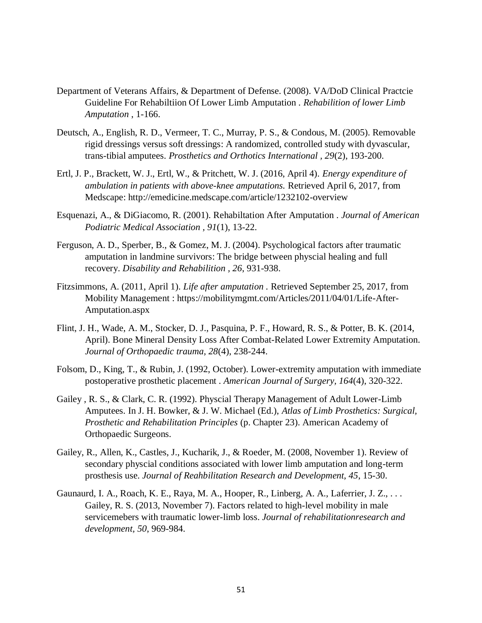- Department of Veterans Affairs, & Department of Defense. (2008). VA/DoD Clinical Practcie Guideline For Rehabiltiion Of Lower Limb Amputation . *Rehabilition of lower Limb Amputation* , 1-166.
- Deutsch, A., English, R. D., Vermeer, T. C., Murray, P. S., & Condous, M. (2005). Removable rigid dressings versus soft dressings: A randomized, controlled study with dyvascular, trans-tibial amputees. *Prosthetics and Orthotics International , 29*(2), 193-200.
- Ertl, J. P., Brackett, W. J., Ertl, W., & Pritchett, W. J. (2016, April 4). *Energy expenditure of ambulation in patients with above-knee amputations.* Retrieved April 6, 2017, from Medscape: http://emedicine.medscape.com/article/1232102-overview
- Esquenazi, A., & DiGiacomo, R. (2001). Rehabiltation After Amputation . *Journal of American Podiatric Medical Association , 91*(1), 13-22.
- Ferguson, A. D., Sperber, B., & Gomez, M. J. (2004). Psychological factors after traumatic amputation in landmine survivors: The bridge between physcial healing and full recovery. *Disability and Rehabilition , 26*, 931-938.
- Fitzsimmons, A. (2011, April 1). *Life after amputation .* Retrieved September 25, 2017, from Mobility Management : https://mobilitymgmt.com/Articles/2011/04/01/Life-After-Amputation.aspx
- Flint, J. H., Wade, A. M., Stocker, D. J., Pasquina, P. F., Howard, R. S., & Potter, B. K. (2014, April). Bone Mineral Density Loss After Combat-Related Lower Extremity Amputation. *Journal of Orthopaedic trauma, 28*(4), 238-244.
- Folsom, D., King, T., & Rubin, J. (1992, October). Lower-extremity amputation with immediate postoperative prosthetic placement . *American Journal of Surgery, 164*(4), 320-322.
- Gailey , R. S., & Clark, C. R. (1992). Physcial Therapy Management of Adult Lower-Limb Amputees. In J. H. Bowker, & J. W. Michael (Ed.), *Atlas of Limb Prosthetics: Surgical, Prosthetic and Rehabilitation Principles* (p. Chapter 23). American Academy of Orthopaedic Surgeons.
- Gailey, R., Allen, K., Castles, J., Kucharik, J., & Roeder, M. (2008, November 1). Review of secondary physcial conditions associated with lower limb amputation and long-term prosthesis use. *Journal of Reahbilitation Research and Development, 45*, 15-30.
- Gaunaurd, I. A., Roach, K. E., Raya, M. A., Hooper, R., Linberg, A. A., Laferrier, J. Z., . . . Gailey, R. S. (2013, November 7). Factors related to high-level mobility in male servicemebers with traumatic lower-limb loss. *Journal of rehabilitationresearch and development, 50*, 969-984.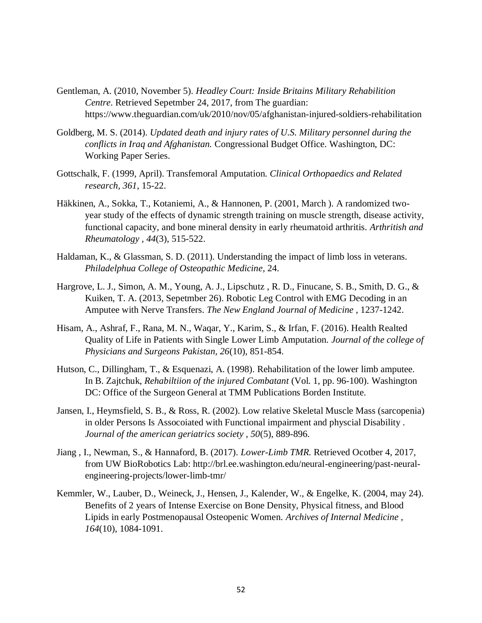- Gentleman, A. (2010, November 5). *Headley Court: Inside Britains Military Rehabilition Centre*. Retrieved Sepetmber 24, 2017, from The guardian: https://www.theguardian.com/uk/2010/nov/05/afghanistan-injured-soldiers-rehabilitation
- Goldberg, M. S. (2014). *Updated death and injury rates of U.S. Military personnel during the conflicts in Iraq and Afghanistan.* Congressional Budget Office. Washington, DC: Working Paper Series.
- Gottschalk, F. (1999, April). Transfemoral Amputation. *Clinical Orthopaedics and Related research, 361*, 15-22.
- Häkkinen, A., Sokka, T., Kotaniemi, A., & Hannonen, P. (2001, March ). A randomized twoyear study of the effects of dynamic strength training on muscle strength, disease activity, functional capacity, and bone mineral density in early rheumatoid arthritis. *Arthritish and Rheumatology , 44*(3), 515-522.
- Haldaman, K., & Glassman, S. D. (2011). Understanding the impact of limb loss in veterans. *Philadelphua College of Osteopathic Medicine*, 24.
- Hargrove, L. J., Simon, A. M., Young, A. J., Lipschutz , R. D., Finucane, S. B., Smith, D. G., & Kuiken, T. A. (2013, Sepetmber 26). Robotic Leg Control with EMG Decoding in an Amputee with Nerve Transfers. *The New England Journal of Medicine* , 1237-1242.
- Hisam, A., Ashraf, F., Rana, M. N., Waqar, Y., Karim, S., & Irfan, F. (2016). Health Realted Quality of Life in Patients with Single Lower Limb Amputation. *Journal of the college of Physicians and Surgeons Pakistan, 26*(10), 851-854.
- Hutson, C., Dillingham, T., & Esquenazi, A. (1998). Rehabilitation of the lower limb amputee. In B. Zajtchuk, *Rehabiltiion of the injured Combatant* (Vol. 1, pp. 96-100). Washington DC: Office of the Surgeon General at TMM Publications Borden Institute.
- Jansen, I., Heymsfield, S. B., & Ross, R. (2002). Low relative Skeletal Muscle Mass (sarcopenia) in older Persons Is Assocoiated with Functional impairment and physcial Disability . *Journal of the american geriatrics society , 50*(5), 889-896.
- Jiang , I., Newman, S., & Hannaford, B. (2017). *Lower-Limb TMR.* Retrieved Ocotber 4, 2017, from UW BioRobotics Lab: http://brl.ee.washington.edu/neural-engineering/past-neuralengineering-projects/lower-limb-tmr/
- Kemmler, W., Lauber, D., Weineck, J., Hensen, J., Kalender, W., & Engelke, K. (2004, may 24). Benefits of 2 years of Intense Exercise on Bone Density, Physical fitness, and Blood Lipids in early Postmenopausal Osteopenic Women. *Archives of Internal Medicine , 164*(10), 1084-1091.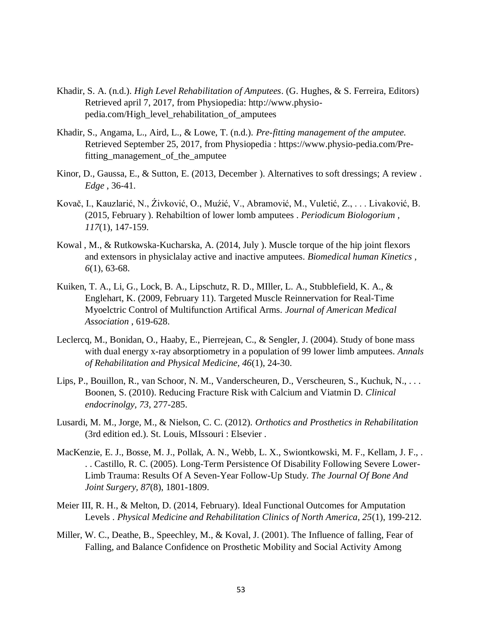- Khadir, S. A. (n.d.). *High Level Rehabilitation of Amputees*. (G. Hughes, & S. Ferreira, Editors) Retrieved april 7, 2017, from Physiopedia: http://www.physiopedia.com/High\_level\_rehabilitation\_of\_amputees
- Khadir, S., Angama, L., Aird, L., & Lowe, T. (n.d.). *Pre-fitting management of the amputee.* Retrieved September 25, 2017, from Physiopedia : https://www.physio-pedia.com/Prefitting\_management\_of\_the\_amputee
- Kinor, D., Gaussa, E., & Sutton, E. (2013, December ). Alternatives to soft dressings; A review . *Edge* , 36-41.
- Kovač, I., Kauzlarić, N., Źivković, O., Muźić, V., Abramović, M., Vuletić, Z., . . . Livaković, B. (2015, February ). Rehabiltion of lower lomb amputees . *Periodicum Biologorium , 117*(1), 147-159.
- Kowal , M., & Rutkowska-Kucharska, A. (2014, July ). Muscle torque of the hip joint flexors and extensors in physiclalay active and inactive amputees. *Biomedical human Kinetics , 6*(1), 63-68.
- Kuiken, T. A., Li, G., Lock, B. A., Lipschutz, R. D., MIller, L. A., Stubblefield, K. A., & Englehart, K. (2009, February 11). Targeted Muscle Reinnervation for Real-Time Myoelctric Control of Multifunction Artifical Arms. *Journal of American Medical Association* , 619-628.
- Leclercq, M., Bonidan, O., Haaby, E., Pierrejean, C., & Sengler, J. (2004). Study of bone mass with dual energy x-ray absorptiometry in a population of 99 lower limb amputees. *Annals of Rehabilitation and Physical Medicine, 46*(1), 24-30.
- Lips, P., Bouillon, R., van Schoor, N. M., Vanderscheuren, D., Verscheuren, S., Kuchuk, N., . . . Boonen, S. (2010). Reducing Fracture Risk with Calcium and Viatmin D. *Clinical endocrinolgy, 73*, 277-285.
- Lusardi, M. M., Jorge, M., & Nielson, C. C. (2012). *Orthotics and Prosthetics in Rehabilitation*  (3rd edition ed.). St. Louis, MIssouri : Elsevier .
- MacKenzie, E. J., Bosse, M. J., Pollak, A. N., Webb, L. X., Swiontkowski, M. F., Kellam, J. F., . . . Castillo, R. C. (2005). Long-Term Persistence Of Disability Following Severe Lower-Limb Trauma: Results Of A Seven-Year Follow-Up Study. *The Journal Of Bone And Joint Surgery, 87*(8), 1801-1809.
- Meier III, R. H., & Melton, D. (2014, February). Ideal Functional Outcomes for Amputation Levels . *Physical Medicine and Rehabilitation Clinics of North America, 25*(1), 199-212.
- Miller, W. C., Deathe, B., Speechley, M., & Koval, J. (2001). The Influence of falling, Fear of Falling, and Balance Confidence on Prosthetic Mobility and Social Activity Among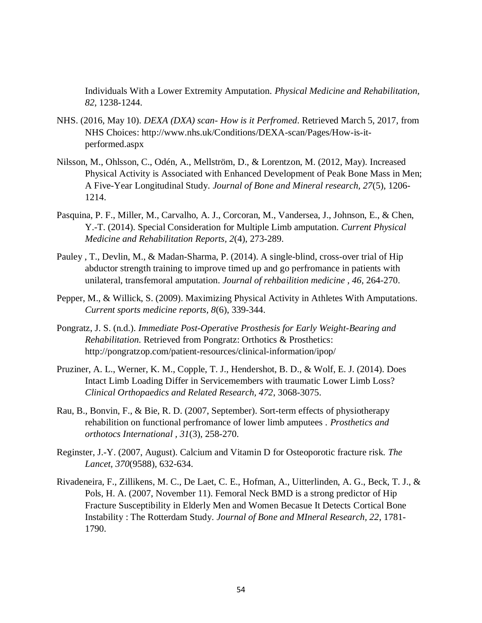Individuals With a Lower Extremity Amputation. *Physical Medicine and Rehabilitation, 82*, 1238-1244.

- NHS. (2016, May 10). *DEXA (DXA) scan- How is it Perfromed*. Retrieved March 5, 2017, from NHS Choices: http://www.nhs.uk/Conditions/DEXA-scan/Pages/How-is-itperformed.aspx
- Nilsson, M., Ohlsson, C., Odén, A., Mellström, D., & Lorentzon, M. (2012, May). Increased Physical Activity is Associated with Enhanced Development of Peak Bone Mass in Men; A Five-Year Longitudinal Study. *Journal of Bone and Mineral research, 27*(5), 1206- 1214.
- Pasquina, P. F., Miller, M., Carvalho, A. J., Corcoran, M., Vandersea, J., Johnson, E., & Chen, Y.-T. (2014). Special Consideration for Multiple Limb amputation. *Current Physical Medicine and Rehabilitation Reports, 2*(4), 273-289.
- Pauley , T., Devlin, M., & Madan-Sharma, P. (2014). A single-blind, cross-over trial of Hip abductor strength training to improve timed up and go perfromance in patients with unilateral, transfemoral amputation. *Journal of rehbailition medicine , 46*, 264-270.
- Pepper, M., & Willick, S. (2009). Maximizing Physical Activity in Athletes With Amputations. *Current sports medicine reports, 8*(6), 339-344.
- Pongratz, J. S. (n.d.). *Immediate Post-Operative Prosthesis for Early Weight-Bearing and Rehabilitation.* Retrieved from Pongratz: Orthotics & Prosthetics: http://pongratzop.com/patient-resources/clinical-information/ipop/
- Pruziner, A. L., Werner, K. M., Copple, T. J., Hendershot, B. D., & Wolf, E. J. (2014). Does Intact Limb Loading Differ in Servicemembers with traumatic Lower Limb Loss? *Clinical Orthopaedics and Related Research, 472*, 3068-3075.
- Rau, B., Bonvin, F., & Bie, R. D. (2007, September). Sort-term effects of physiotherapy rehabilition on functional perfromance of lower limb amputees . *Prosthetics and orthotocs International , 31*(3), 258-270.
- Reginster, J.-Y. (2007, August). Calcium and Vitamin D for Osteoporotic fracture risk. *The Lancet, 370*(9588), 632-634.
- Rivadeneira, F., Zillikens, M. C., De Laet, C. E., Hofman, A., Uitterlinden, A. G., Beck, T. J., & Pols, H. A. (2007, November 11). Femoral Neck BMD is a strong predictor of Hip Fracture Susceptibility in Elderly Men and Women Becasue It Detects Cortical Bone Instability : The Rotterdam Study. *Journal of Bone and MIneral Research, 22*, 1781- 1790.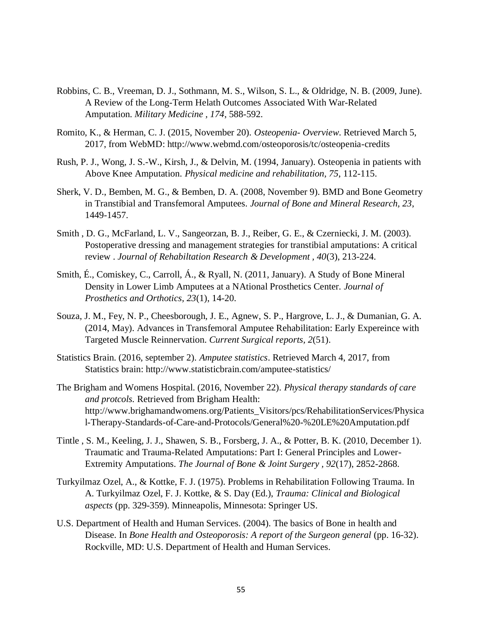- Robbins, C. B., Vreeman, D. J., Sothmann, M. S., Wilson, S. L., & Oldridge, N. B. (2009, June). A Review of the Long-Term Helath Outcomes Associated With War-Related Amputation. *Military Medicine , 174*, 588-592.
- Romito, K., & Herman, C. J. (2015, November 20). *Osteopenia- Overview*. Retrieved March 5, 2017, from WebMD: http://www.webmd.com/osteoporosis/tc/osteopenia-credits
- Rush, P. J., Wong, J. S.-W., Kirsh, J., & Delvin, M. (1994, January). Osteopenia in patients with Above Knee Amputation. *Physical medicine and rehabilitation, 75*, 112-115.
- Sherk, V. D., Bemben, M. G., & Bemben, D. A. (2008, November 9). BMD and Bone Geometry in Transtibial and Transfemoral Amputees. *Journal of Bone and Mineral Research, 23*, 1449-1457.
- Smith , D. G., McFarland, L. V., Sangeorzan, B. J., Reiber, G. E., & Czerniecki, J. M. (2003). Postoperative dressing and management strategies for transtibial amputations: A critical review . *Journal of Rehabiltation Research & Development , 40*(3), 213-224.
- Smith, É., Comiskey, C., Carroll, Á., & Ryall, N. (2011, January). A Study of Bone Mineral Density in Lower Limb Amputees at a NAtional Prosthetics Center. *Journal of Prosthetics and Orthotics, 23*(1), 14-20.
- Souza, J. M., Fey, N. P., Cheesborough, J. E., Agnew, S. P., Hargrove, L. J., & Dumanian, G. A. (2014, May). Advances in Transfemoral Amputee Rehabilitation: Early Expereince with Targeted Muscle Reinnervation. *Current Surgical reports, 2*(51).
- Statistics Brain. (2016, september 2). *Amputee statistics*. Retrieved March 4, 2017, from Statistics brain: http://www.statisticbrain.com/amputee-statistics/
- The Brigham and Womens Hospital. (2016, November 22). *Physical therapy standards of care and protcols.* Retrieved from Brigham Health: http://www.brighamandwomens.org/Patients\_Visitors/pcs/RehabilitationServices/Physica l-Therapy-Standards-of-Care-and-Protocols/General%20-%20LE%20Amputation.pdf
- Tintle , S. M., Keeling, J. J., Shawen, S. B., Forsberg, J. A., & Potter, B. K. (2010, December 1). Traumatic and Trauma-Related Amputations: Part I: General Principles and Lower-Extremity Amputations. *The Journal of Bone & Joint Surgery , 92*(17), 2852-2868.
- Turkyilmaz Ozel, A., & Kottke, F. J. (1975). Problems in Rehabilitation Following Trauma. In A. Turkyilmaz Ozel, F. J. Kottke, & S. Day (Ed.), *Trauma: Clinical and Biological aspects* (pp. 329-359). Minneapolis, Minnesota: Springer US.
- U.S. Department of Health and Human Services. (2004). The basics of Bone in health and Disease. In *Bone Health and Osteoporosis: A report of the Surgeon general* (pp. 16-32). Rockville, MD: U.S. Department of Health and Human Services.